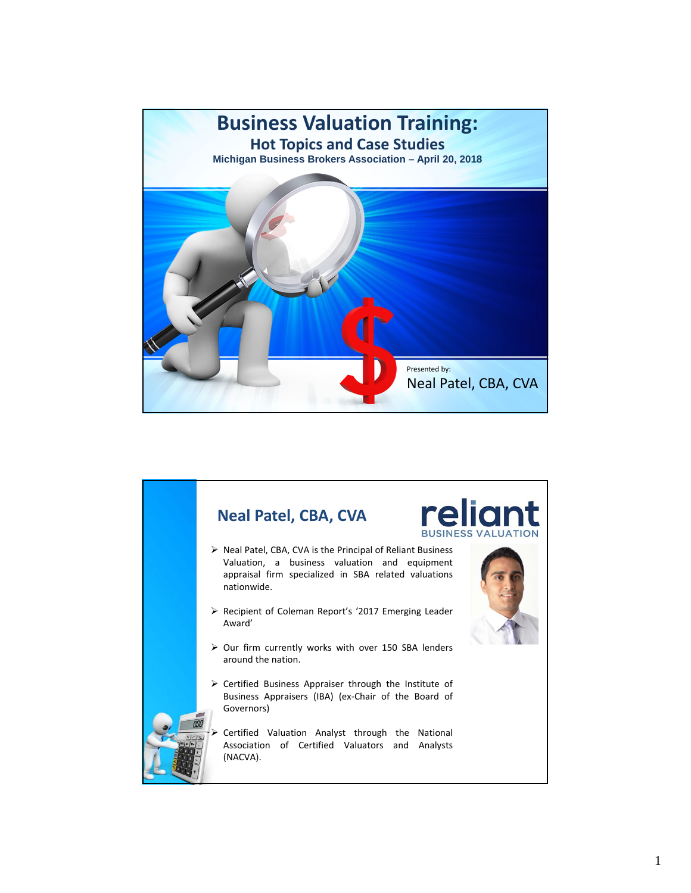

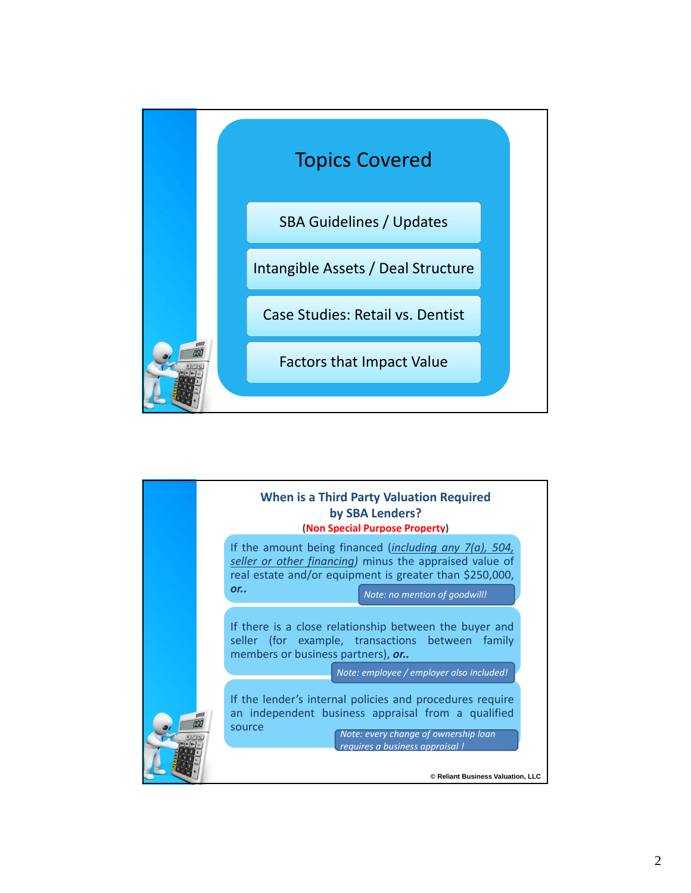

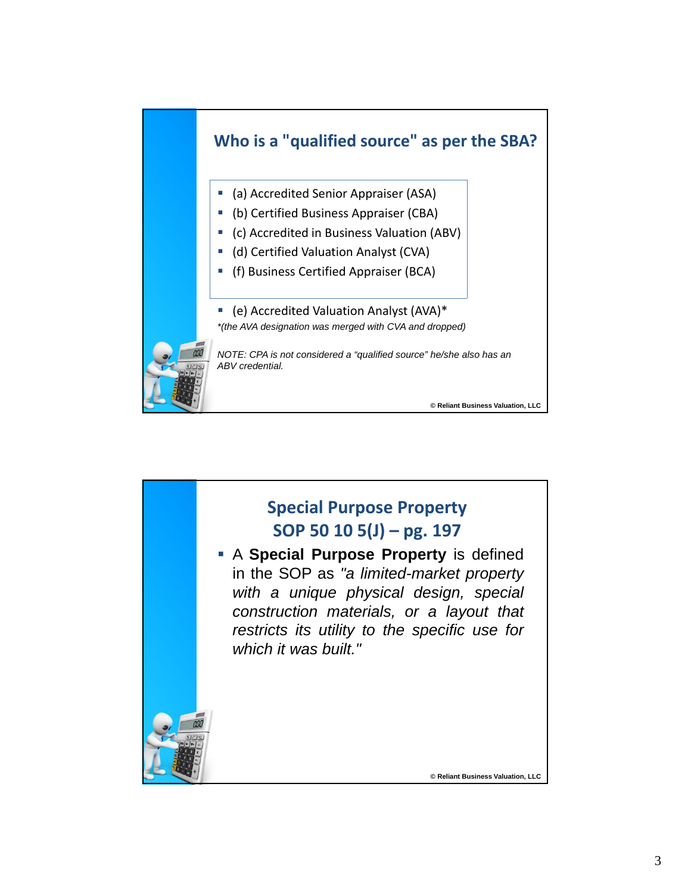

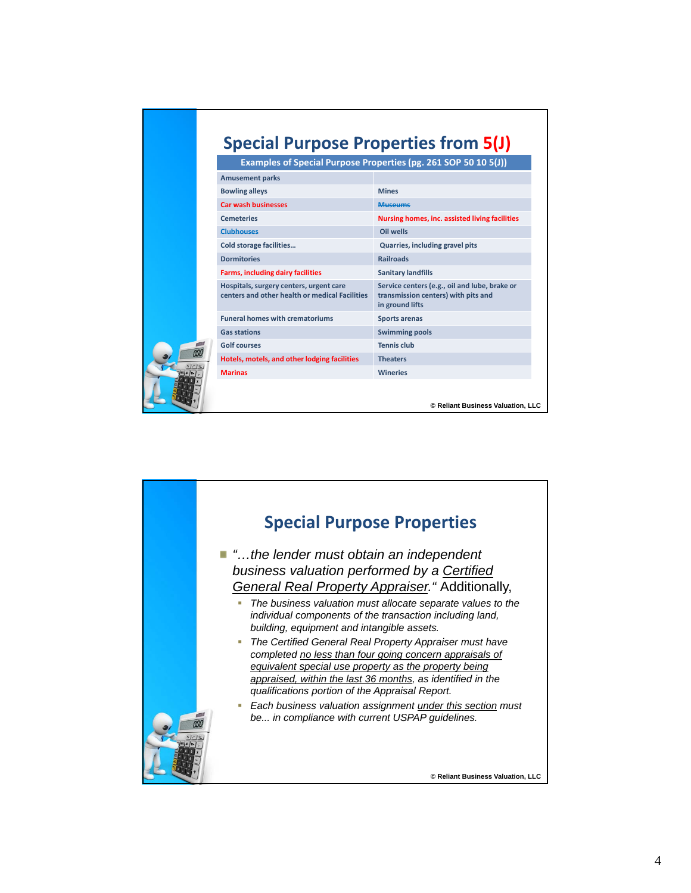|                | Examples of Special Purpose Properties (pg. 261 SOP 50 10 5(J))                           | <b>Special Purpose Properties from 5(J)</b>                                                             |
|----------------|-------------------------------------------------------------------------------------------|---------------------------------------------------------------------------------------------------------|
|                | <b>Amusement parks</b>                                                                    |                                                                                                         |
|                | <b>Bowling alleys</b>                                                                     | <b>Mines</b>                                                                                            |
|                | <b>Car wash businesses</b>                                                                | <b>Museums</b>                                                                                          |
|                | <b>Cemeteries</b>                                                                         | Nursing homes, inc. assisted living facilities                                                          |
|                | Clubbouses                                                                                | Oil wells                                                                                               |
|                | <b>Cold storage facilities</b>                                                            | Quarries, including gravel pits                                                                         |
|                | <b>Dormitories</b>                                                                        | <b>Railroads</b>                                                                                        |
|                | <b>Farms, including dairy facilities</b>                                                  | <b>Sanitary landfills</b>                                                                               |
|                | Hospitals, surgery centers, urgent care<br>centers and other health or medical Facilities | Service centers (e.g., oil and lube, brake or<br>transmission centers) with pits and<br>in ground lifts |
|                | <b>Funeral homes with crematoriums</b>                                                    | <b>Sports arenas</b>                                                                                    |
|                | <b>Gas stations</b>                                                                       | <b>Swimming pools</b>                                                                                   |
|                | <b>Golf courses</b>                                                                       | <b>Tennis club</b>                                                                                      |
|                | Hotels, motels, and other lodging facilities                                              | <b>Theaters</b>                                                                                         |
| <b>Marinas</b> |                                                                                           | <b>Wineries</b>                                                                                         |

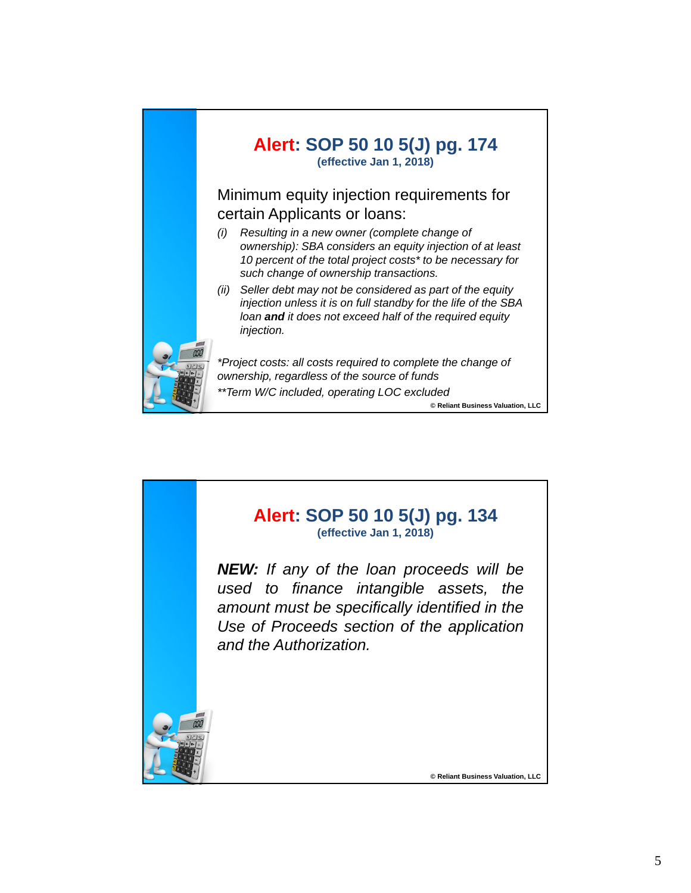

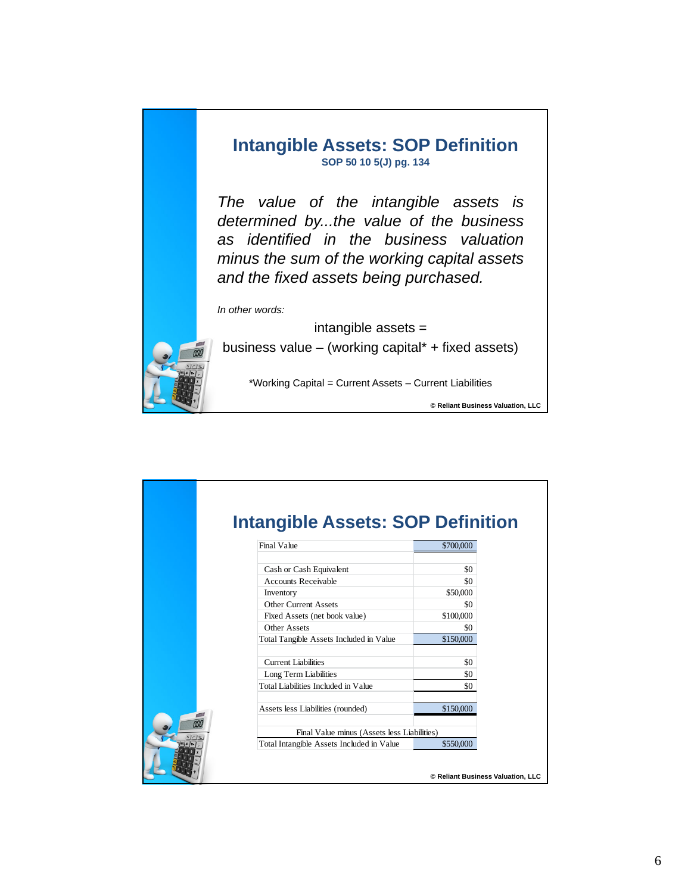

|     | <b>Final Value</b>                          | \$700,000 |
|-----|---------------------------------------------|-----------|
|     | Cash or Cash Equivalent                     | \$0       |
|     | <b>Accounts Receivable</b>                  | \$0       |
|     | Inventory                                   | \$50,000  |
|     | <b>Other Current Assets</b>                 | \$0       |
|     | Fixed Assets (net book value)               | \$100,000 |
|     | Other Assets                                | \$0       |
|     | Total Tangible Assets Included in Value     | \$150,000 |
|     | Current Liabilities                         | \$0       |
|     | Long Term Liabilities                       | \$0       |
|     | Total Liabilities Included in Value         | \$0       |
|     | Assets less Liabilities (rounded)           | \$150,000 |
| nno | Final Value minus (Assets less Liabilities) |           |
|     | Total Intangible Assets Included in Value   | \$550,000 |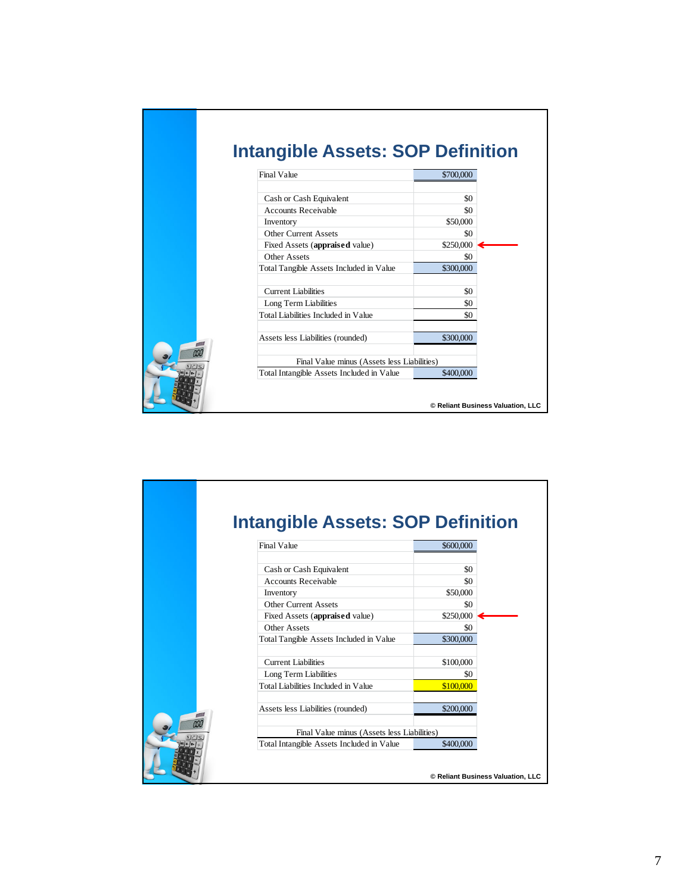|     | <b>Intangible Assets: SOP Definition</b>    |                                   |
|-----|---------------------------------------------|-----------------------------------|
|     | <b>Final Value</b>                          | \$700,000                         |
|     | Cash or Cash Equivalent                     | \$0                               |
|     | <b>Accounts Receivable</b>                  | \$0                               |
|     | Inventory<br><b>Other Current Assets</b>    | \$50,000<br>\$0                   |
|     | Fixed Assets (appraised value)              | \$250,000                         |
|     | Other Assets                                | \$0                               |
|     | Total Tangible Assets Included in Value     | \$300,000                         |
|     | <b>Current Liabilities</b>                  | \$0                               |
|     | Long Term Liabilities                       | \$0                               |
|     | Total Liabilities Included in Value         | \$0                               |
|     | Assets less Liabilities (rounded)           | \$300,000                         |
| nní | Final Value minus (Assets less Liabilities) |                                   |
|     | Total Intangible Assets Included in Value   | \$400,000                         |
|     |                                             | © Reliant Business Valuation, LLC |

|     | <b>Intangible Assets: SOP Definition</b>    |           |                                   |
|-----|---------------------------------------------|-----------|-----------------------------------|
|     | <b>Final Value</b>                          | \$600,000 |                                   |
|     | Cash or Cash Equivalent                     | \$0       |                                   |
|     | <b>Accounts Receivable</b>                  | \$0       |                                   |
|     | Inventory                                   | \$50,000  |                                   |
|     | <b>Other Current Assets</b>                 | \$0       |                                   |
|     | Fixed Assets (appraised value)              | \$250,000 |                                   |
|     | Other Assets                                | \$0       |                                   |
|     | Total Tangible Assets Included in Value     | \$300,000 |                                   |
|     | <b>Current Liabilities</b>                  | \$100,000 |                                   |
|     | Long Term Liabilities                       | \$0       |                                   |
|     | Total Liabilities Included in Value         | \$100,000 |                                   |
|     | Assets less Liabilities (rounded)           | \$200,000 |                                   |
| nno | Final Value minus (Assets less Liabilities) |           |                                   |
|     | Total Intangible Assets Included in Value   | \$400,000 |                                   |
|     |                                             |           | © Reliant Business Valuation, LLC |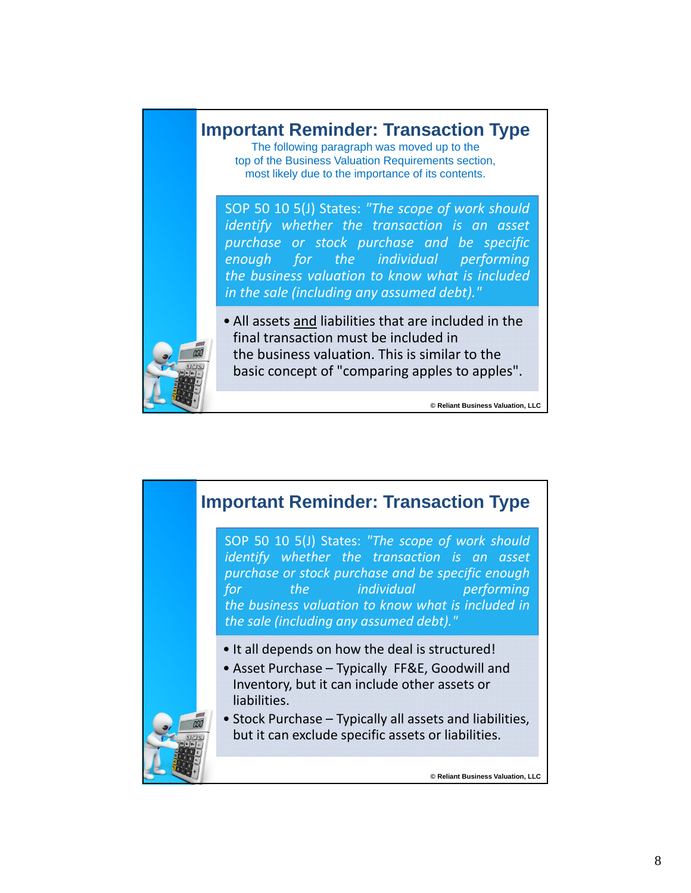

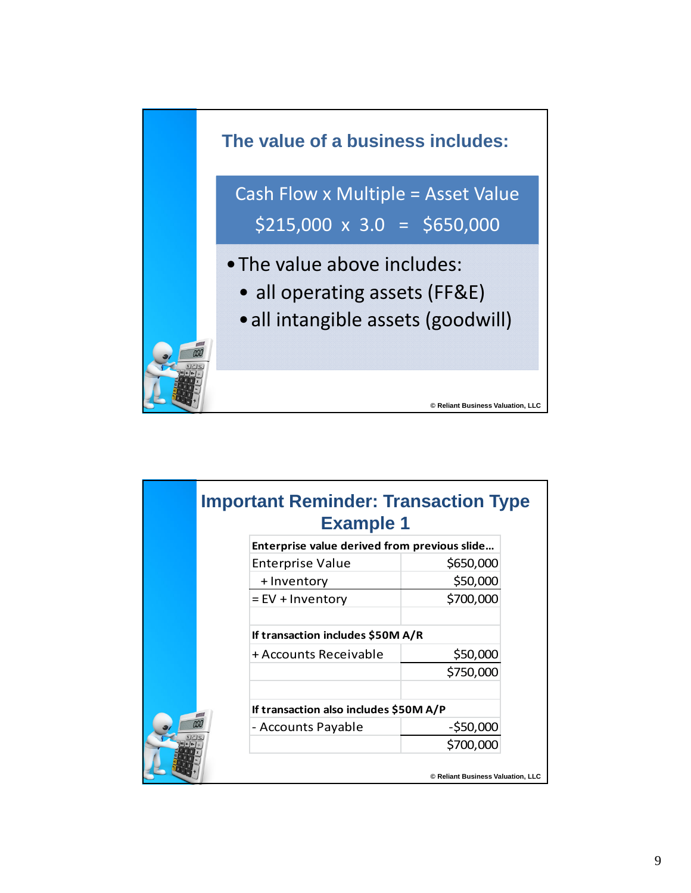

| Enterprise value derived from previous slide |              |
|----------------------------------------------|--------------|
| <b>Enterprise Value</b>                      | \$650,000    |
| + Inventory                                  | \$50,000     |
| $=$ EV + Inventory                           | \$700,000    |
| If transaction includes \$50M A/R            |              |
| + Accounts Receivable                        | \$50,000     |
|                                              | \$750,000    |
| If transaction also includes \$50M A/P       |              |
| - Accounts Payable                           | $-$ \$50,000 |
|                                              | \$700,000    |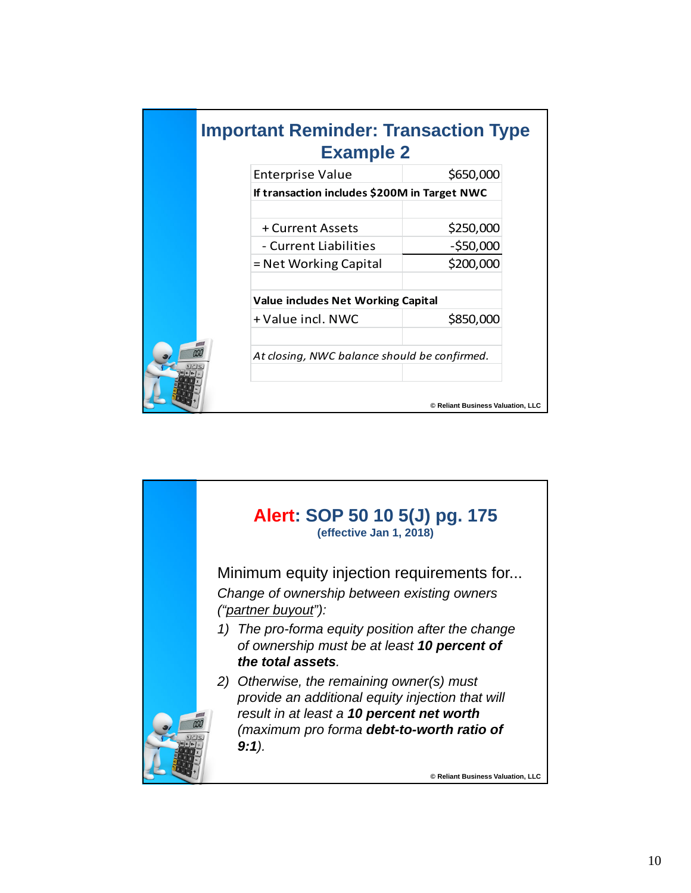| <b>Important Reminder: Transaction Type</b><br><b>Example 2</b> |                                   |
|-----------------------------------------------------------------|-----------------------------------|
| <b>Enterprise Value</b>                                         | \$650,000                         |
| If transaction includes \$200M in Target NWC                    |                                   |
| + Current Assets                                                | \$250,000                         |
| - Current Liabilities                                           | $-$ \$50,000                      |
| $=$ Net Working Capital                                         | \$200,000                         |
| <b>Value includes Net Working Capital</b>                       |                                   |
| + Value incl. NWC                                               | \$850,000                         |
| At closing, NWC balance should be confirmed.                    |                                   |
|                                                                 | © Reliant Business Valuation, LLC |

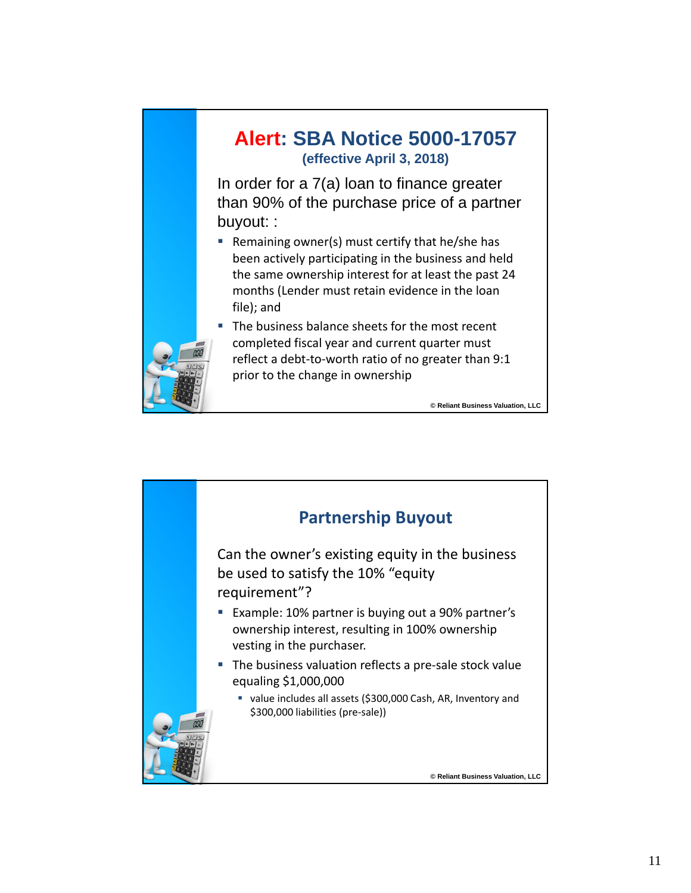

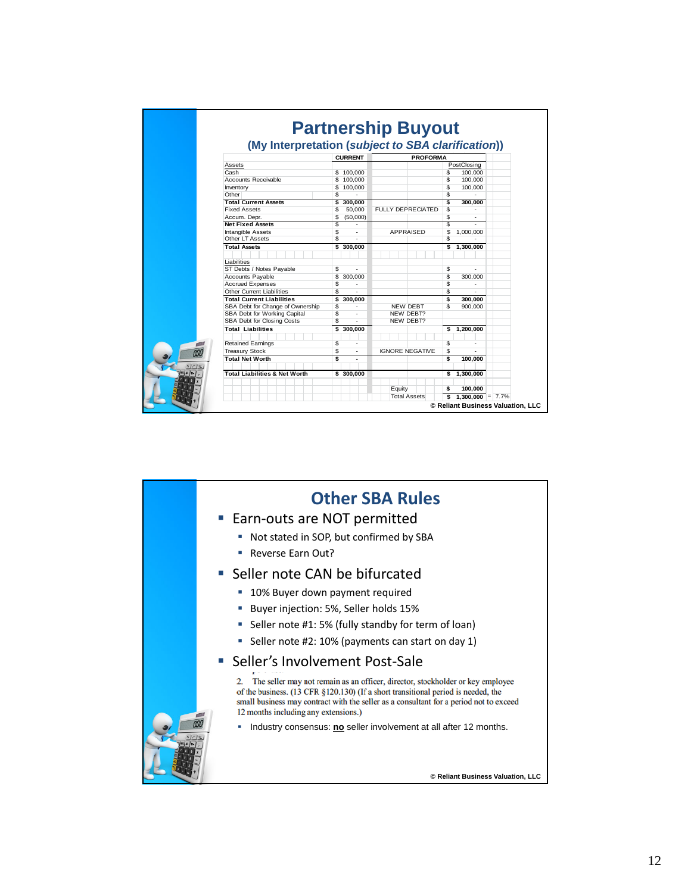|                                          |                      | (My Interpretation (subject to SBA clarification)) |                      |  |
|------------------------------------------|----------------------|----------------------------------------------------|----------------------|--|
|                                          | <b>CURRENT</b>       | <b>PROFORMA</b>                                    |                      |  |
| Assets                                   |                      |                                                    | PostClosing          |  |
| Cash                                     | \$100,000            |                                                    | \$<br>100,000        |  |
| <b>Accounts Receivable</b>               | \$100,000            |                                                    | \$<br>100,000        |  |
| Inventory                                | \$<br>100,000        |                                                    | \$<br>100,000        |  |
| Other                                    | \$                   |                                                    | \$                   |  |
| <b>Total Current Assets</b>              | \$300,000            |                                                    | \$<br>300.000        |  |
| <b>Fixed Assets</b>                      | \$<br>50,000         | <b>FULLY DEPRECIATED</b>                           | \$                   |  |
| Accum. Depr.                             | \$<br>(50,000)       |                                                    | \$<br>$\sim$         |  |
| <b>Net Fixed Assets</b>                  | \$                   |                                                    | S                    |  |
| <b>Intangible Assets</b>                 | \$                   | <b>APPRAISED</b>                                   | \$<br>1,000,000      |  |
| Other LT Assets                          | \$<br>٠              |                                                    | \$                   |  |
| <b>Total Assets</b>                      | \$300,000            |                                                    | \$1,300,000          |  |
|                                          |                      |                                                    |                      |  |
| Liabilities                              |                      |                                                    |                      |  |
| ST Debts / Notes Pavable                 | \$                   |                                                    | \$                   |  |
| Accounts Payable                         | \$<br>300,000        |                                                    | \$<br>300,000        |  |
| <b>Accrued Expenses</b>                  | \$<br>$\overline{a}$ |                                                    | \$<br>$\overline{a}$ |  |
| <b>Other Current Liabilities</b>         | \$                   |                                                    | \$                   |  |
| <b>Total Current Liabilities</b>         | \$<br>300.000        |                                                    | S<br>300.000         |  |
| SBA Debt for Change of Ownership         | \$                   | <b>NEW DEBT</b>                                    | \$<br>900,000        |  |
| SBA Debt for Working Capital             | \$                   | NEW DEBT?                                          |                      |  |
| SBA Debt for Closing Costs               | \$<br>÷.             | NEW DEBT?                                          |                      |  |
| <b>Total Liabilities</b>                 | \$300,000            |                                                    | \$1,200,000          |  |
|                                          |                      |                                                    |                      |  |
| <b>Retained Earnings</b>                 | \$<br>$\overline{a}$ |                                                    | \$                   |  |
| <b>Treasury Stock</b>                    | \$                   | <b>IGNORE NEGATIVE</b>                             | \$                   |  |
| <b>Total Net Worth</b>                   | \$<br>٠              |                                                    | S<br>100,000         |  |
| <b>Total Liabilities &amp; Net Worth</b> | \$300.000            |                                                    | \$1,300,000          |  |
|                                          |                      |                                                    |                      |  |
|                                          |                      | Equity                                             | \$<br>100,000        |  |
|                                          |                      | <b>Total Assets</b>                                | $$1,300,000 = 7.7\%$ |  |

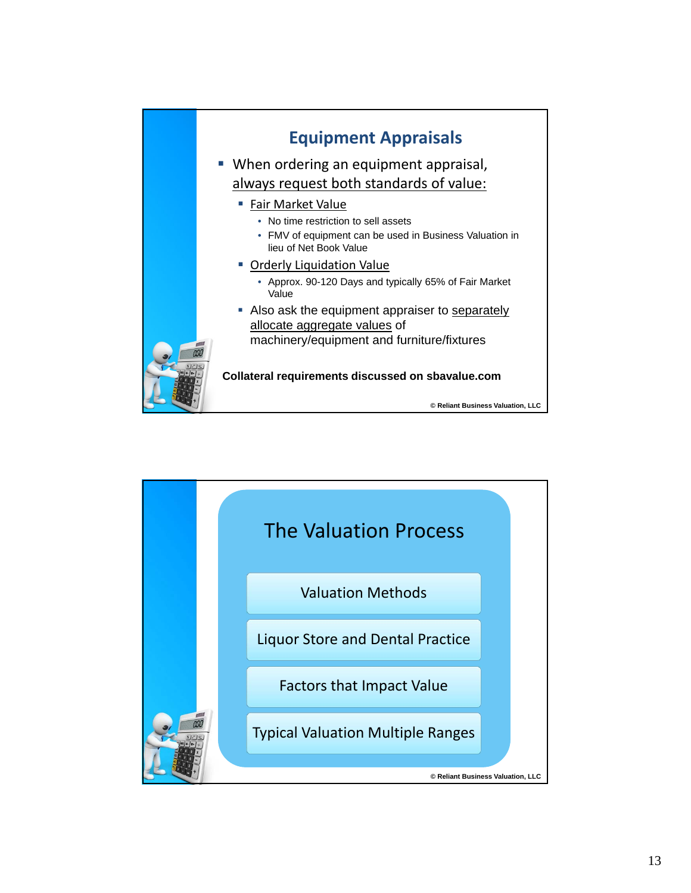

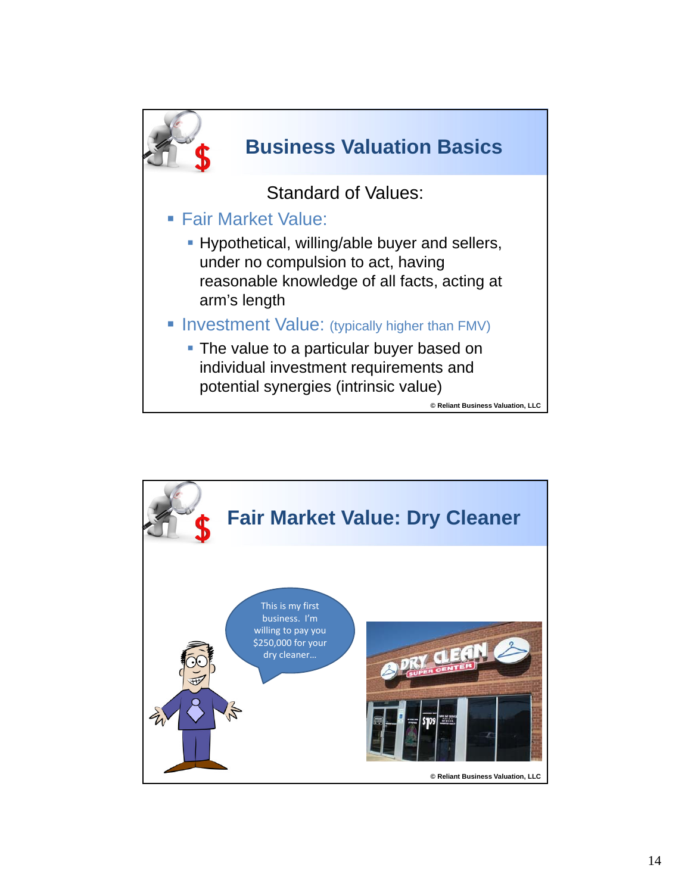

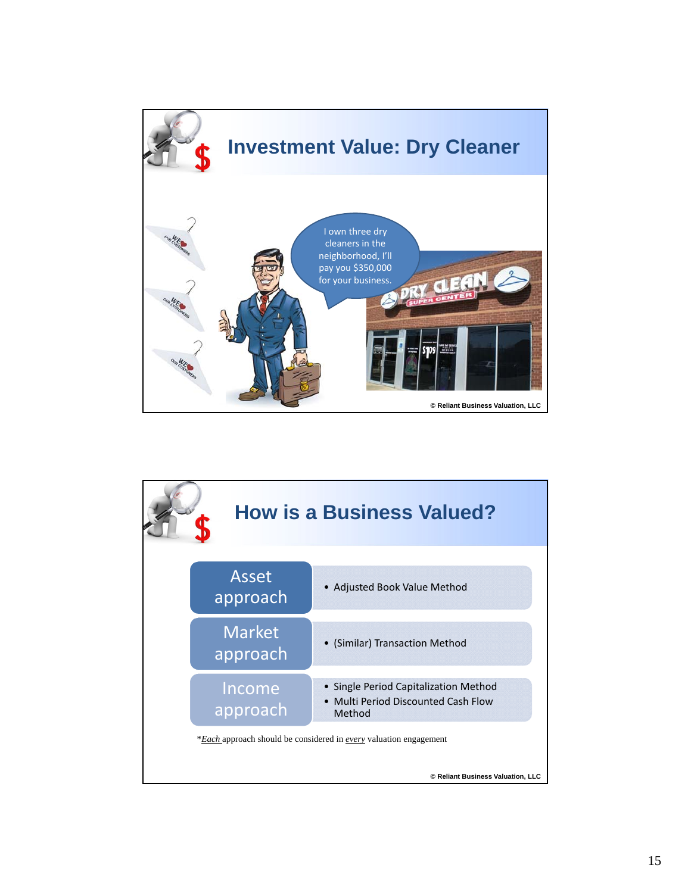

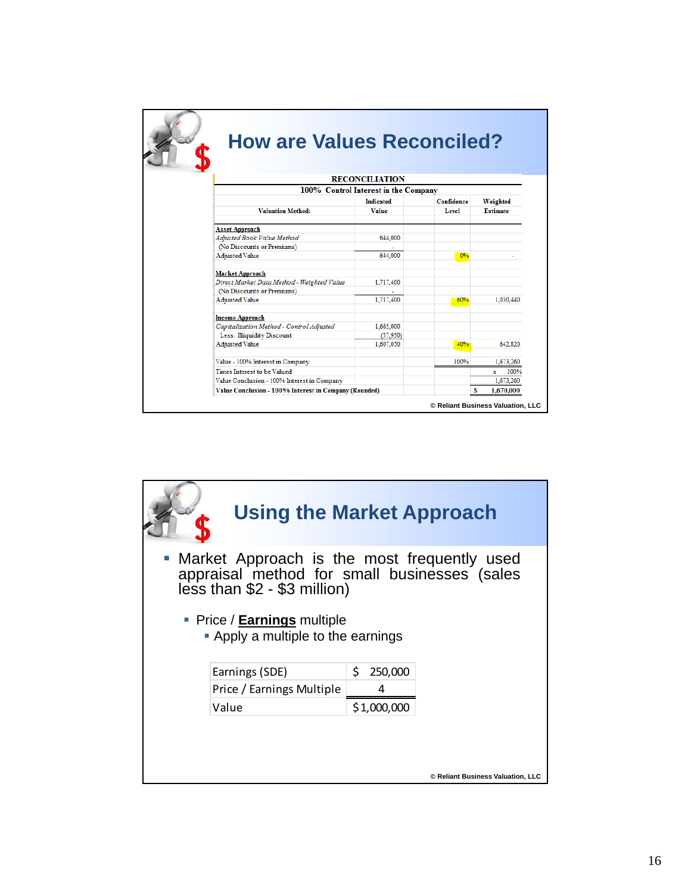|                                                       | <b>RECONCILIATION</b>                |            |                      |
|-------------------------------------------------------|--------------------------------------|------------|----------------------|
|                                                       | 100% Control Interest in the Company |            |                      |
|                                                       | <b>Indicated</b>                     | Confidence | Weighted             |
| <b>Valuation Method:</b>                              | <b>Value</b>                         | Level      | <b>Estimate</b>      |
| <b>Asset Approach</b>                                 |                                      |            |                      |
| Adjusted Book Value Method                            | 644,000                              |            |                      |
| (No Discounts or Premiums)                            |                                      |            |                      |
| Adjusted Value                                        | 644,000                              | 0%         |                      |
| <b>Market Approach</b>                                |                                      |            |                      |
| Direct Market Data Method - Weighted Value            | 1,717,400                            |            |                      |
| (No Discounts or Premiums)                            |                                      |            |                      |
| <b>Adjusted Value</b>                                 | 1,717,400                            | 60%        | 1.030.440            |
| <b>Income Approach</b>                                |                                      |            |                      |
| Capitalization Method - Control Adjusted              | 1,665,000                            |            |                      |
| Less: Illiquidity Discount                            | (57,950)                             |            |                      |
| <b>Adjusted Value</b>                                 | 1.607.050                            | 40%        | 642.820              |
| Value - 100% Interest in Company                      |                                      | 100%       | 1,673,260            |
| Times Interest to be Valued                           |                                      |            | 100%<br>$\mathbf{x}$ |
| Value Conclusion - 100% Interest in Company           |                                      |            | 1.673.260            |
| Value Conclusion - 100% Interest in Company (Rounded) |                                      | s          | 1,670,000            |

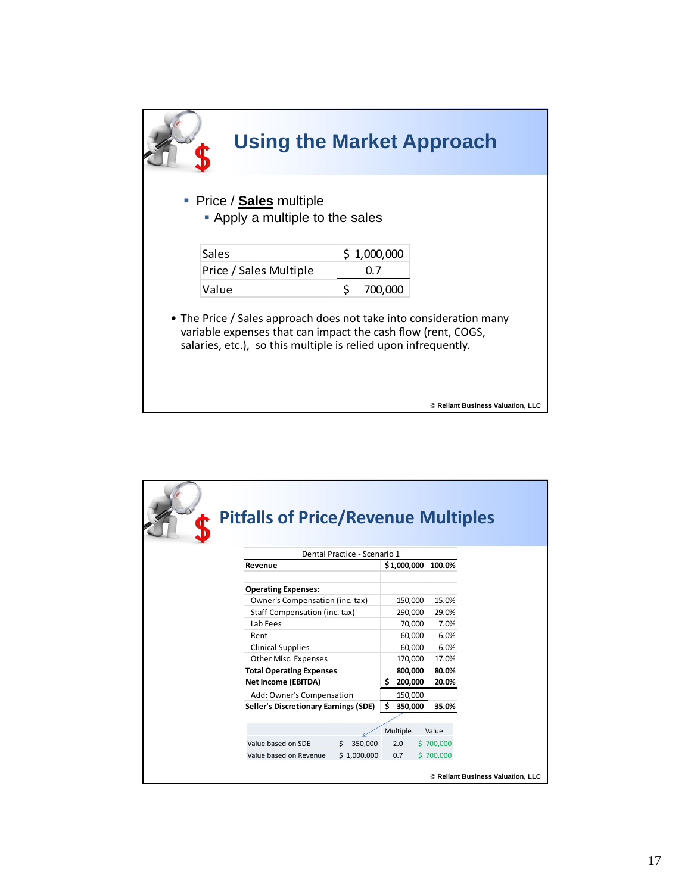|                                                                                                                                | <b>Using the Market Approach</b>                                   |
|--------------------------------------------------------------------------------------------------------------------------------|--------------------------------------------------------------------|
| • Price / <b>Sales</b> multiple<br>• Apply a multiple to the sales                                                             |                                                                    |
| Sales                                                                                                                          | \$1,000,000                                                        |
| Price / Sales Multiple                                                                                                         | 0.7                                                                |
| Value                                                                                                                          | \$<br>700,000                                                      |
| variable expenses that can impact the cash flow (rent, COGS,<br>salaries, etc.), so this multiple is relied upon infrequently. | • The Price / Sales approach does not take into consideration many |
|                                                                                                                                | © Reliant Business Valuation, LLC                                  |

|                              | <b>Pitfalls of Price/Revenue Multiples</b>                                                                                                                             |               |                                                             |                                                 |                                   |  |  |
|------------------------------|------------------------------------------------------------------------------------------------------------------------------------------------------------------------|---------------|-------------------------------------------------------------|-------------------------------------------------|-----------------------------------|--|--|
| Dental Practice - Scenario 1 |                                                                                                                                                                        |               |                                                             |                                                 |                                   |  |  |
|                              | Revenue                                                                                                                                                                |               | \$1,000,000                                                 | 100.0%                                          |                                   |  |  |
|                              | <b>Operating Expenses:</b><br>Owner's Compensation (inc. tax)<br>Staff Compensation (inc. tax)<br>Lab Fees<br>Rent<br><b>Clinical Supplies</b><br>Other Misc. Expenses |               | 150,000<br>290,000<br>70,000<br>60,000<br>60,000<br>170,000 | 15.0%<br>29.0%<br>7.0%<br>6.0%<br>6.0%<br>17.0% |                                   |  |  |
|                              | <b>Total Operating Expenses</b>                                                                                                                                        |               | 800,000                                                     | 80.0%                                           |                                   |  |  |
|                              | Net Income (EBITDA)                                                                                                                                                    |               | 200,000<br>Ś.                                               | 20.0%                                           |                                   |  |  |
|                              | Add: Owner's Compensation                                                                                                                                              |               | 150,000                                                     |                                                 |                                   |  |  |
|                              | Seller's Discretionary Earnings (SDE)                                                                                                                                  |               | 350,000<br>Ś.                                               | 35.0%                                           |                                   |  |  |
|                              |                                                                                                                                                                        |               |                                                             |                                                 |                                   |  |  |
|                              |                                                                                                                                                                        |               | Multiple                                                    | Value                                           |                                   |  |  |
|                              | Value based on SDE                                                                                                                                                     | 350,000<br>Ŝ. | 2.0                                                         | \$700,000                                       |                                   |  |  |
|                              | Value based on Revenue                                                                                                                                                 | \$1,000,000   | 0.7                                                         | \$700,000                                       |                                   |  |  |
|                              |                                                                                                                                                                        |               |                                                             |                                                 | © Reliant Business Valuation, LLC |  |  |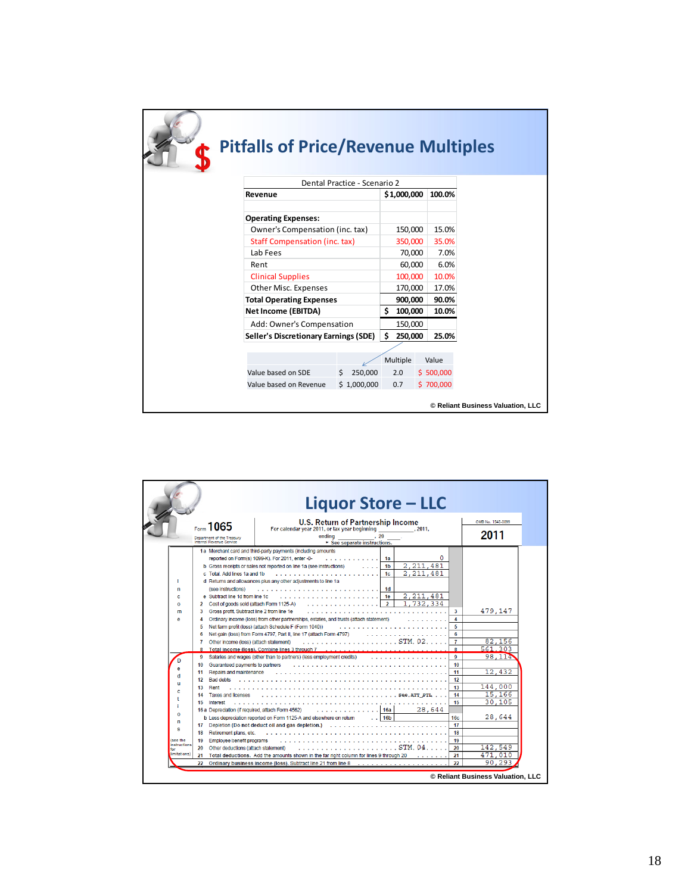| <b>Pitfalls of Price/Revenue Multiples</b> |               |    |             |           |                                   |
|--------------------------------------------|---------------|----|-------------|-----------|-----------------------------------|
| Dental Practice - Scenario 2               |               |    |             |           |                                   |
| Revenue                                    |               |    | \$1,000,000 | 100.0%    |                                   |
| <b>Operating Expenses:</b>                 |               |    |             |           |                                   |
| Owner's Compensation (inc. tax)            |               |    | 150,000     | 15.0%     |                                   |
| <b>Staff Compensation (inc. tax)</b>       |               |    | 350,000     | 35.0%     |                                   |
| Lab Fees                                   |               |    | 70,000      | 7.0%      |                                   |
| Rent                                       |               |    | 60,000      | 6.0%      |                                   |
| <b>Clinical Supplies</b>                   |               |    | 100,000     | 10.0%     |                                   |
| Other Misc. Expenses                       |               |    | 170,000     | 17.0%     |                                   |
| <b>Total Operating Expenses</b>            |               |    | 900,000     | 90.0%     |                                   |
| Net Income (EBITDA)                        |               | Ś. | 100,000     | 10.0%     |                                   |
| Add: Owner's Compensation                  |               |    | 150,000     |           |                                   |
| Seller's Discretionary Earnings (SDE)      |               | Ś. | 250,000     | 25.0%     |                                   |
|                                            |               |    |             |           |                                   |
|                                            |               |    | Multiple    | Value     |                                   |
| Value based on SDE                         | 250,000<br>Ŝ. |    | 2.0         | \$500,000 |                                   |
| Value based on Revenue                     | \$1,000,000   |    | 0.7         | \$700,000 |                                   |
|                                            |               |    |             |           | © Reliant Business Valuation, LLC |

|                                                                                                                             |                                                                                                                                                                                                                                                                                                                                                                                                                                                                                                                                                                                       | Liquor Store – LLC                                                                                                                                                                                                                                                                                                                                                                                                                                                                                                                                                                                                                                                                                                                                                                                                                                                                                                                                                                                                                                                                                                                                             |                                                                                                                                                                                                                                                                                                                   |  |
|-----------------------------------------------------------------------------------------------------------------------------|---------------------------------------------------------------------------------------------------------------------------------------------------------------------------------------------------------------------------------------------------------------------------------------------------------------------------------------------------------------------------------------------------------------------------------------------------------------------------------------------------------------------------------------------------------------------------------------|----------------------------------------------------------------------------------------------------------------------------------------------------------------------------------------------------------------------------------------------------------------------------------------------------------------------------------------------------------------------------------------------------------------------------------------------------------------------------------------------------------------------------------------------------------------------------------------------------------------------------------------------------------------------------------------------------------------------------------------------------------------------------------------------------------------------------------------------------------------------------------------------------------------------------------------------------------------------------------------------------------------------------------------------------------------------------------------------------------------------------------------------------------------|-------------------------------------------------------------------------------------------------------------------------------------------------------------------------------------------------------------------------------------------------------------------------------------------------------------------|--|
|                                                                                                                             | $_{\rm{form}}$ 1065<br>Department of the Treasury<br>Internal Revenue Service                                                                                                                                                                                                                                                                                                                                                                                                                                                                                                         | U.S. Return of Partnership Income<br>For calendar year 2011, or tax year beginning [100] . 2011,<br>ending 20<br>$\blacktriangleright$ See separate instructions.                                                                                                                                                                                                                                                                                                                                                                                                                                                                                                                                                                                                                                                                                                                                                                                                                                                                                                                                                                                              | OMB No. 1545-0099<br>2011                                                                                                                                                                                                                                                                                         |  |
| п<br>n<br>c<br>o<br>m<br>e<br>۵<br>d<br>ш<br>c<br>$\mathbf{o}$<br>n<br>s<br>(see the<br>instructions<br>for<br>limitations) | c Total, Add lines 1a and 1b<br>(see instructions)<br>e Subtract line 1d from line 1c.<br>2 Cost of goods sold (attach Form 1125-A)<br>Gross profit. Subtract line 2 from line 1e<br>3<br>4<br>5<br>6<br>Other income (loss) (attach statement)<br>7<br>9<br>10<br>Guaranteed payments to partners<br>11 Repairs and maintenance<br>12 Bad debts<br>13<br>Rent<br><b>Taxes and licenses</b><br>14<br>15<br>Interest<br>16 a Depreciation (if required, attach Form 4562)<br>18 Retirement plans, etc.<br>Employee benefit programs<br>19<br>20<br>Other deductions (attach statement) | 1a Merchant card and third-party payments (including amounts<br>O<br>reported on Form(s) 1099-K). For 2011, enter -0-<br>1a<br>2.211.481<br>b Gross receipts or sales not reported on line 1a (see instructions)<br>1b<br>2.211.481<br>1 <sub>c</sub><br>d Returns and allowances plus any other adjustments to line 1a<br>1d<br>2.211.481<br>1e<br>1.732.334<br>$\overline{2}$<br>Ordinary income (loss) from other partnerships, estates, and trusts (attach statement)<br>Net farm profit (loss) (attach Schedule F (Form 1040))<br>Net gain (loss) from Form 4797, Part II, line 17 (attach Form 4797)<br>and and and a<br>8 Total income (loss), Combine lines 3 through 7<br>Salaries and wages (other than to partners) (less employment credits)<br>.<br>$\ldots$ See ATT PTL<br>.<br>28,644<br>. 16a<br>. 16b<br>b Less depreciation reported on Form 1125-A and elsewhere on return<br>17 Depletion (Do not deduct oil and gas depletion.)<br>distribution distribution distri<br>21 Total deductions. Add the amounts shown in the far right column for lines 9 through 20<br>22 Ordinary business income (loss). Subtract line 21 from line 8<br>. | 479,147<br>3<br>4<br>5<br>6<br>82.156<br>$\overline{7}$<br>8<br>561.303<br>$\mathbf Q$<br>98,114<br>10<br>12.432<br>11<br>12<br>144,000<br>13<br>15,166<br>14<br>15<br>30,105<br>28,644<br>16c<br>17<br>18<br>19<br>142.549<br>20<br>471.010<br>21<br>90.293<br>$\mathbf{p}$<br>© Reliant Business Valuation, LLC |  |
|                                                                                                                             |                                                                                                                                                                                                                                                                                                                                                                                                                                                                                                                                                                                       |                                                                                                                                                                                                                                                                                                                                                                                                                                                                                                                                                                                                                                                                                                                                                                                                                                                                                                                                                                                                                                                                                                                                                                |                                                                                                                                                                                                                                                                                                                   |  |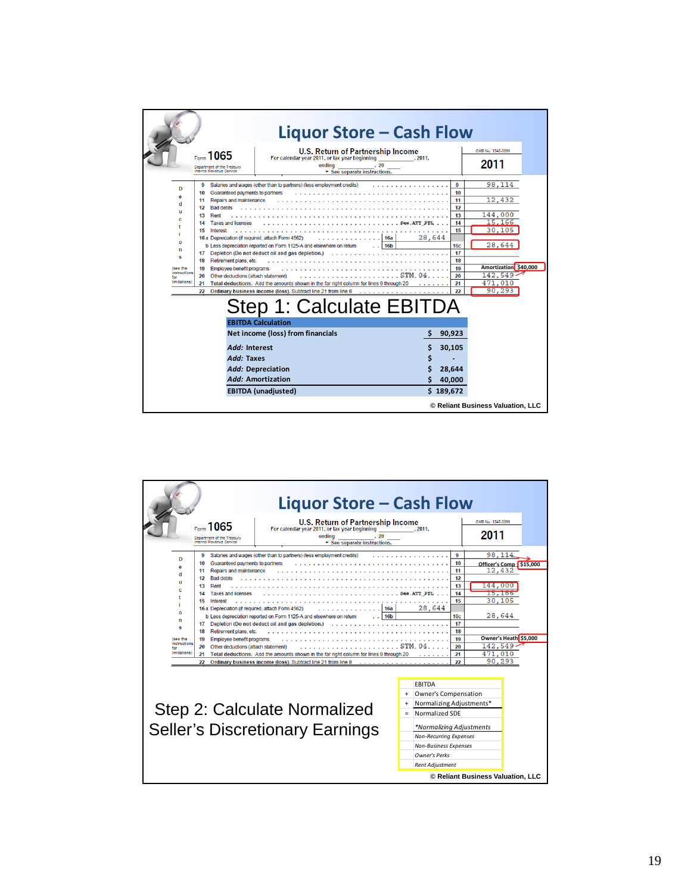| U.S. Return of Partnership Income<br>OMB No. 1545-0099<br>Form 1065<br>For calendar year 2011, or tax year beginning (2011,                                                                                                                                                                                                                                                                                                                                                                                                                                                                                                                                                                                                                                                                                                                                                                                                                                                                                                                                                                 |  |
|---------------------------------------------------------------------------------------------------------------------------------------------------------------------------------------------------------------------------------------------------------------------------------------------------------------------------------------------------------------------------------------------------------------------------------------------------------------------------------------------------------------------------------------------------------------------------------------------------------------------------------------------------------------------------------------------------------------------------------------------------------------------------------------------------------------------------------------------------------------------------------------------------------------------------------------------------------------------------------------------------------------------------------------------------------------------------------------------|--|
| 2011<br>ending<br>, 20<br>Department of the Treasury<br>Internal Revenue Service<br>See separate instructions.                                                                                                                                                                                                                                                                                                                                                                                                                                                                                                                                                                                                                                                                                                                                                                                                                                                                                                                                                                              |  |
| 98.114<br>Salaries and wages (other than to partners) (less employment credits)<br>9<br>9<br>D<br>10 Guaranteed payments to partners<br>10<br>12,432<br>11<br>11 Repairs and maintenance<br>d<br>12<br>12 Bad debts<br>п<br>144,000<br>13<br>Rent<br>13<br>c<br>15.166<br>14<br><b>Taxes and licenses</b><br>14<br>30,105<br>15<br>Interest<br>15<br>28,644<br>16 a Depreciation (if required, attach Form 4562)<br>16a<br>O<br>28,644<br>16 <sub>b</sub><br>16 <sub>c</sub><br>b Less depreciation reported on Form 1125-A and elsewhere on return<br>n<br>17<br>17 Depletion (Do not deduct oil and gas depletion.)<br>s<br>18<br>18 Retirement plans, etc.<br>Amortization \$40,000<br>19<br>Employee benefit programs<br>(see the<br>19<br>instructions<br>$142,549 -$<br>20<br>Other deductions (attach statement)<br>20<br>for<br>limitations)<br>471,010<br>21<br>Total deductions. Add the amounts shown in the far right column for lines 9 through 20<br>21<br>90.293<br>$22^{1}$<br>22 Ordinary business income (loss). Subtract line 21 from line 8<br>Step 1: Calculate EBITDA |  |
| <b>EBITDA Calculation</b><br>Net income (loss) from financials<br>90,923<br>Add: Interest<br>30,105<br>Add: Taxes<br>Add: Depreciation<br>28.644<br><b>Add: Amortization</b><br>40,000<br>\$189,672<br><b>EBITDA</b> (unadjusted)                                                                                                                                                                                                                                                                                                                                                                                                                                                                                                                                                                                                                                                                                                                                                                                                                                                           |  |

|                                                                                                                                                                                                                                                                                                                                                                                                                                                                                                                                                                                                                                                                                                                                                                                      | Liquor Store – Cash Flow                                                                                                                                                                                                                                                                          |
|--------------------------------------------------------------------------------------------------------------------------------------------------------------------------------------------------------------------------------------------------------------------------------------------------------------------------------------------------------------------------------------------------------------------------------------------------------------------------------------------------------------------------------------------------------------------------------------------------------------------------------------------------------------------------------------------------------------------------------------------------------------------------------------|---------------------------------------------------------------------------------------------------------------------------------------------------------------------------------------------------------------------------------------------------------------------------------------------------|
| U.S. Return of Partnership Income<br>Escon 1065<br>For calendar year 2011, or tax year beginning<br>endina<br>Department of the Treasury<br>Internal Revenue Service<br>$\triangleright$ See separate instructions.                                                                                                                                                                                                                                                                                                                                                                                                                                                                                                                                                                  | OMB No. 1545-0099<br>, 2011,<br>2011<br>.20                                                                                                                                                                                                                                                       |
| Salaries and wages (other than to partners) (less employment credits)<br>9<br>n<br>Guaranteed payments to partners<br>10<br>Repairs and maintenance<br>11<br><b>Bad debts</b><br>12<br>Rent<br>13<br><b>Taxes and licenses</b><br>14<br>15<br>Interest<br>16 a Depreciation (if required, attach Form 4562)<br>b Less depreciation reported on Form 1125-A and elsewhere on return<br>n<br>Depletion (Do not deduct oil and gas depletion.)<br>17<br>Retirement plans, etc.<br>18<br>(see the<br>Employee benefit programs<br>19<br>instructions<br>20<br>Other deductions (attach statement)<br>limitations)<br>Total deductions. Add the amounts shown in the far right column for lines 9 through 20<br>21<br>Ordinary business income (loss). Subtract line 21 from line 8<br>22 | 98.114<br>9<br>10<br>Officer's Comp \$15,000<br>12,432<br>11<br>12<br>L44.000<br>13<br>14<br>15,166<br>15<br>30,105<br>28,644<br>16a<br>28,644<br>16 <sub>b</sub><br>16c<br>17<br>18<br>Owner's Heath \$5,000<br>19<br>142.549<br>STM.04<br>20<br>21<br>471.010<br>90,293<br>22                   |
| Step 2: Calculate Normalized<br><b>Seller's Discretionary Earnings</b>                                                                                                                                                                                                                                                                                                                                                                                                                                                                                                                                                                                                                                                                                                               | <b>FBITDA</b><br>Owner's Compensation<br>$\ddot{}$<br>Normalizing Adjustments*<br>$\ddot{}$<br>Normalized SDF<br>$=$<br>*Normalizing Adjustments<br><b>Non-Recurring Expenses</b><br><b>Non-Business Expenses</b><br><b>Owner's Perks</b><br>Rent Adjustment<br>© Reliant Business Valuation, LLC |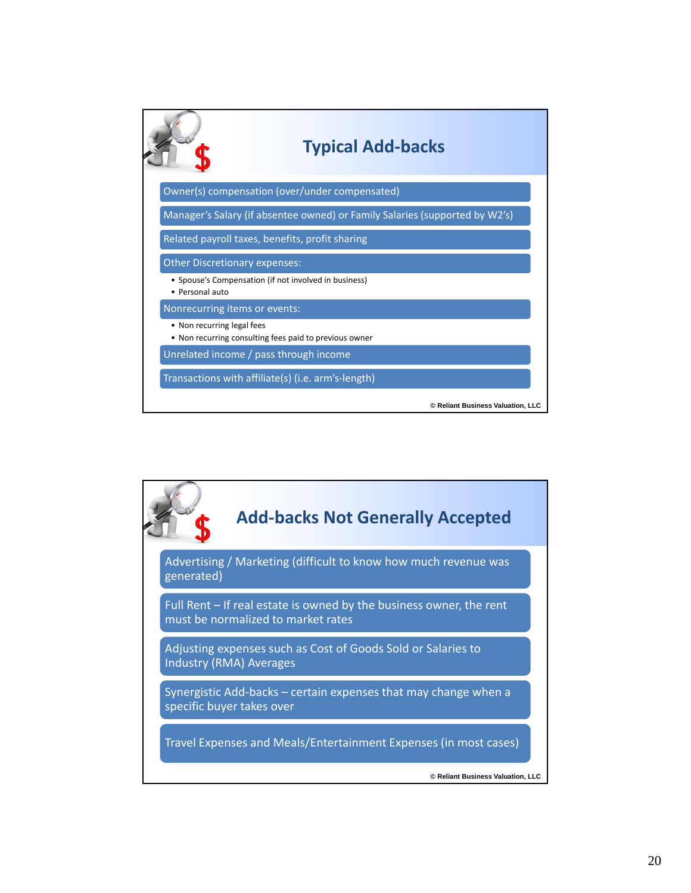

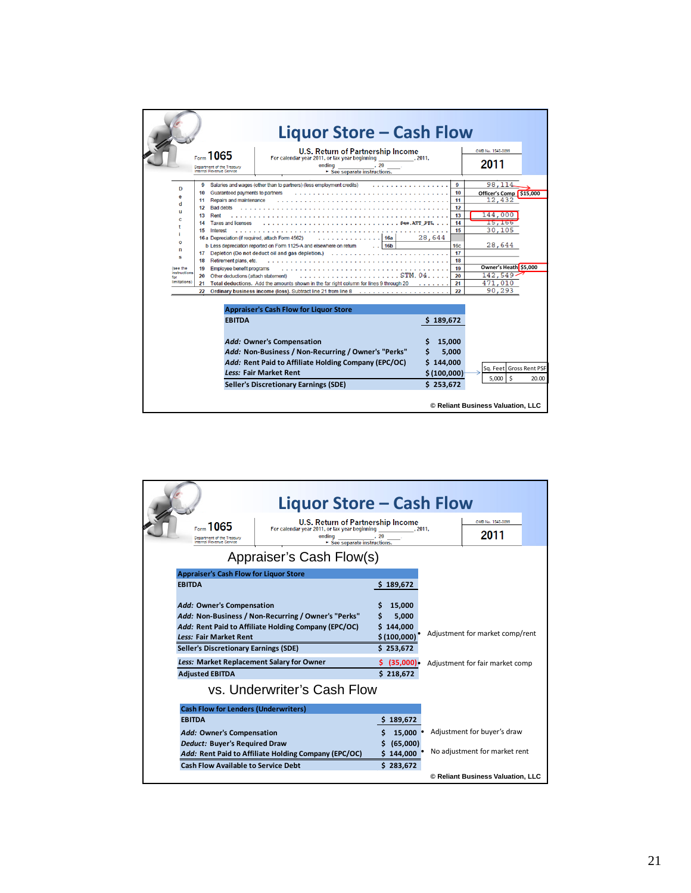|                                                                                             |                                                                                                                                                                                                                                                                                                                                              | Liquor Store – Cash Flow                                                                                                                                                                                                                                                                                                                                                                 |                                                                                            |                                                                                                                                                    |
|---------------------------------------------------------------------------------------------|----------------------------------------------------------------------------------------------------------------------------------------------------------------------------------------------------------------------------------------------------------------------------------------------------------------------------------------------|------------------------------------------------------------------------------------------------------------------------------------------------------------------------------------------------------------------------------------------------------------------------------------------------------------------------------------------------------------------------------------------|--------------------------------------------------------------------------------------------|----------------------------------------------------------------------------------------------------------------------------------------------------|
|                                                                                             | $_{\text{Eerm}}$ 1065<br>Department of the Treasury<br>Internal Revenue Service                                                                                                                                                                                                                                                              | <b>U.S. Return of Partnership Income</b><br>For calendar year 2011, or tax year beginning<br>endina <b>compared to the compare</b><br>.20<br>$\blacktriangleright$ See separate instructions.                                                                                                                                                                                            | . 2011.                                                                                    | OMB No. 1545-0099<br>2011                                                                                                                          |
| D<br>e<br>d<br>u<br>c<br>$\mathbf{o}$<br>n<br>s<br>(see the<br>instructions<br>limitations) | 9<br>Guaranteed payments to partners<br>10<br>11 Repairs and maintenance<br>12 Bad debts<br>Rent<br>13<br><b>Taxes and licenses</b><br>14<br>15<br>Interest<br>16 a Depreciation (if required, attach Form 4562)<br>Retirement plans, etc.<br>18<br>Employee benefit programs<br>19<br>20<br>Other deductions (attach statement)<br>21<br>22 | Salaries and wages (other than to partners) (less employment credits)<br>16a<br>b Less depreciation reported on Form 1125-A and elsewhere on return<br>16 <sub>b</sub><br>17 Depletion (Do not deduct oil and gas depletion.)<br>Total deductions. Add the amounts shown in the far right column for lines 9 through 20<br>Ordinary business income (loss). Subtract line 21 from line 8 | 9<br>10<br>11<br>12<br>13<br>14<br>15<br>28,644<br>16c<br>17<br>18<br>19<br>20<br>21<br>22 | 98, 114<br>Officer's Comp \$15,000<br>12,432<br>144,000<br>15,166<br>30.105<br>28,644<br>Owner's Heath \$5,000<br>$142.549 -$<br>471.010<br>90,293 |
|                                                                                             | <b>EBITDA</b>                                                                                                                                                                                                                                                                                                                                | <b>Appraiser's Cash Flow for Liquor Store</b><br><b>Add: Owner's Compensation</b><br>Add: Non-Business / Non-Recurring / Owner's "Perks"<br>Add: Rent Paid to Affiliate Holding Company (EPC/OC)<br><b>Less: Fair Market Rent</b><br><b>Seller's Discretionary Earnings (SDE)</b>                                                                                                        | \$189,672<br>15.000<br>5,000<br>144.000<br>\$(100,000)<br>\$253,672                        | Sq. Feet Gross Rent PSF<br>5.000<br>Ŝ.<br>20.00<br>© Reliant Business Valuation, LLC                                                               |

|                                                                                                                                                                                   | Liquor Store – Cash Flow                                                                                                                   |                                                                                 |                                                                    |  |
|-----------------------------------------------------------------------------------------------------------------------------------------------------------------------------------|--------------------------------------------------------------------------------------------------------------------------------------------|---------------------------------------------------------------------------------|--------------------------------------------------------------------|--|
| $_{\text{Form}}$ 1065<br>Department of the Treasury<br>Internal Revenue Service                                                                                                   | U.S. Return of Partnership Income<br>For calendar year 2011, or tax year beginning<br>ending<br>See separate instructions.                 | . 2011.<br>.20                                                                  | OMB No. 1545-0099<br>2011                                          |  |
|                                                                                                                                                                                   | Appraiser's Cash Flow(s)                                                                                                                   |                                                                                 |                                                                    |  |
| <b>Appraiser's Cash Flow for Liquor Store</b>                                                                                                                                     |                                                                                                                                            |                                                                                 |                                                                    |  |
| <b>EBITDA</b>                                                                                                                                                                     |                                                                                                                                            | 189,672<br>S                                                                    |                                                                    |  |
| Add: Owner's Compensation<br><b>Less: Fair Market Rent</b><br><b>Seller's Discretionary Earnings (SDE)</b><br>Less: Market Replacement Salary for Owner<br><b>Adjusted EBITDA</b> | Add: Non-Business / Non-Recurring / Owner's "Perks"<br>Add: Rent Paid to Affiliate Holding Company (EPC/OC)<br>vs. Underwriter's Cash Flow | 15.000<br>5,000<br>144,000<br>\$(100,000)<br>\$253,672<br>(35,000)<br>\$218,672 | Adjustment for market comp/rent<br>Adjustment for fair market comp |  |
| <b>Cash Flow for Lenders (Underwriters)</b>                                                                                                                                       |                                                                                                                                            |                                                                                 |                                                                    |  |
| <b>EBITDA</b>                                                                                                                                                                     |                                                                                                                                            | \$189,672                                                                       |                                                                    |  |
| Add: Owner's Compensation<br>Deduct: Buyer's Required Draw                                                                                                                        | Add: Rent Paid to Affiliate Holding Company (EPC/OC)                                                                                       | 15,000<br>(65,000)<br>\$144,000                                                 | Adjustment for buyer's draw<br>No adjustment for market rent       |  |
| <b>Cash Flow Available to Service Debt</b>                                                                                                                                        |                                                                                                                                            | \$283,672                                                                       |                                                                    |  |
|                                                                                                                                                                                   |                                                                                                                                            |                                                                                 | © Reliant Business Valuation, LLC                                  |  |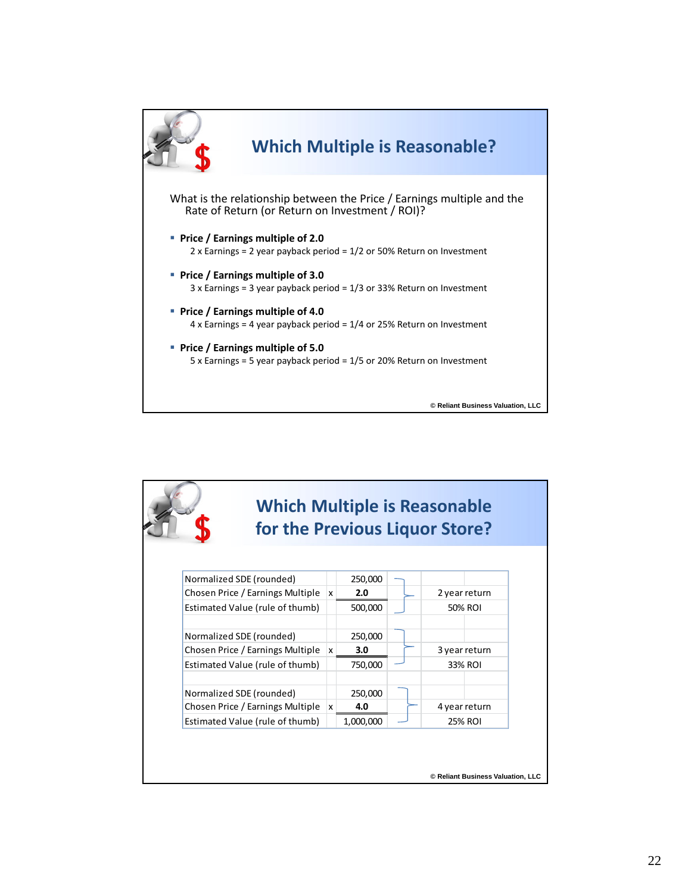

|                                  |              |           | for the Previous Liquor Store? |
|----------------------------------|--------------|-----------|--------------------------------|
|                                  |              |           |                                |
|                                  |              |           |                                |
| Normalized SDE (rounded)         |              | 250,000   |                                |
| Chosen Price / Earnings Multiple | x            | 2.0       | 2 year return                  |
| Estimated Value (rule of thumb)  |              | 500,000   | 50% ROI                        |
| Normalized SDE (rounded)         |              | 250,000   |                                |
| Chosen Price / Earnings Multiple | $\mathsf{x}$ | 3.0       | 3 year return                  |
| Estimated Value (rule of thumb)  |              | 750,000   | 33% ROI                        |
| Normalized SDE (rounded)         |              | 250,000   |                                |
| Chosen Price / Earnings Multiple | $\mathsf{x}$ | 4.0       | 4 year return                  |
| Estimated Value (rule of thumb)  |              | 1,000,000 | 25% ROI                        |
|                                  |              |           |                                |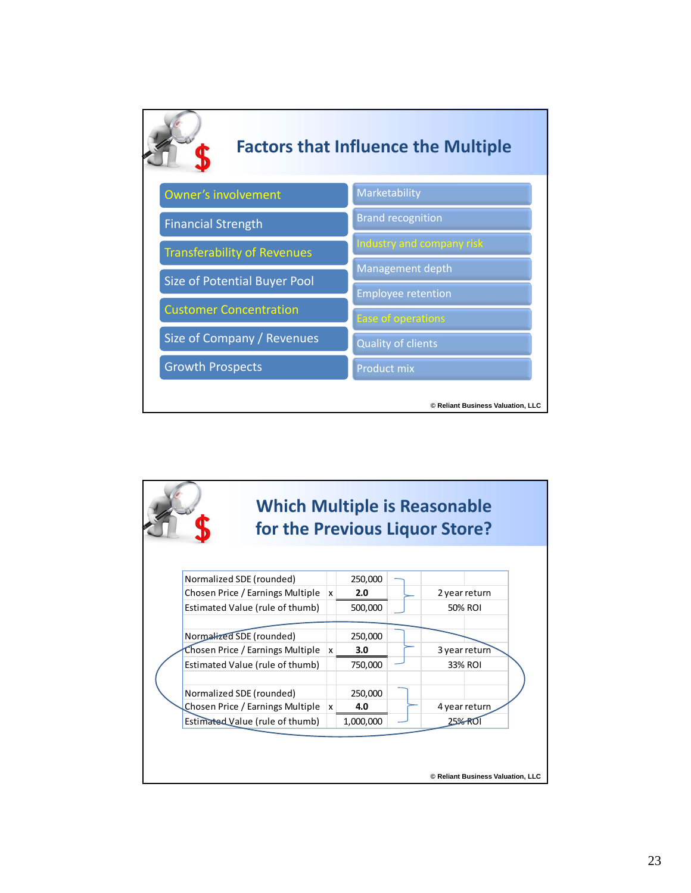

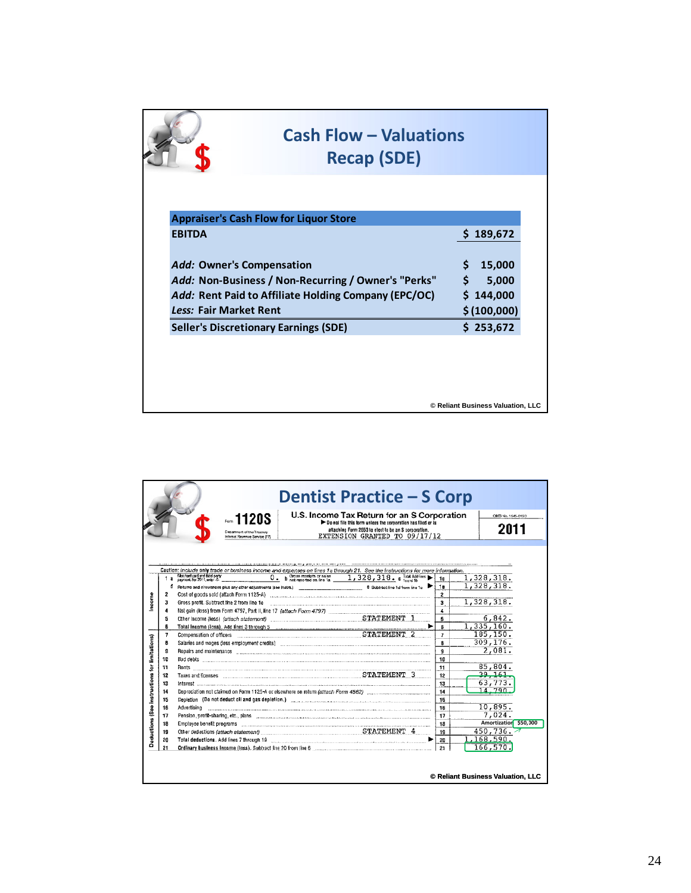|                                                                   | <b>Cash Flow - Valuations</b><br><b>Recap (SDE)</b>                                                                |                                                         |
|-------------------------------------------------------------------|--------------------------------------------------------------------------------------------------------------------|---------------------------------------------------------|
|                                                                   | <b>Appraiser's Cash Flow for Liquor Store</b>                                                                      |                                                         |
| <b>EBITDA</b>                                                     |                                                                                                                    | 189,672                                                 |
| <b>Add: Owner's Compensation</b><br><b>Less: Fair Market Rent</b> | <i>Add:</i> Non-Business / Non-Recurring / Owner's "Perks"<br>Add: Rent Paid to Affiliate Holding Company (EPC/OC) | \$<br>15,000<br>\$<br>5,000<br>\$144,000<br>\$(100,000) |
|                                                                   | <b>Seller's Discretionary Earnings (SDE)</b>                                                                       | \$253,672                                               |
|                                                                   |                                                                                                                    |                                                         |
|                                                                   |                                                                                                                    |                                                         |
|                                                                   |                                                                                                                    | © Reliant Business Valuation, LLC                       |

|                                                        |                                                                                                                                      | <b>Dentist Practice – S Corp</b><br>U.S. Income Tax Return for an S Corporation<br>1120S<br>Do not file this form unless the corporation has flied or is<br>attaching Form 2553 to elect to be an S corporation.<br>Department of the Trussury<br>EXTENSION GRANTED TO 09/17/12<br>nternal Revenue Service (77)                                                                                                                                                                                                                                                                                                                                                                                                                                                                                                                                                                                                                                                                                                                                                                                                                                                                                                                                                                                                                                                                                                                                                                                                                                                                                           |                                                                                                                                             | OMB No. 1545-0120<br>2011                                                                                                                                                                                                         |
|--------------------------------------------------------|--------------------------------------------------------------------------------------------------------------------------------------|-----------------------------------------------------------------------------------------------------------------------------------------------------------------------------------------------------------------------------------------------------------------------------------------------------------------------------------------------------------------------------------------------------------------------------------------------------------------------------------------------------------------------------------------------------------------------------------------------------------------------------------------------------------------------------------------------------------------------------------------------------------------------------------------------------------------------------------------------------------------------------------------------------------------------------------------------------------------------------------------------------------------------------------------------------------------------------------------------------------------------------------------------------------------------------------------------------------------------------------------------------------------------------------------------------------------------------------------------------------------------------------------------------------------------------------------------------------------------------------------------------------------------------------------------------------------------------------------------------------|---------------------------------------------------------------------------------------------------------------------------------------------|-----------------------------------------------------------------------------------------------------------------------------------------------------------------------------------------------------------------------------------|
| ncome<br>Deductions (See instructions for limitations) | 1a<br>đ<br>2<br>з<br>4<br>5<br>6<br>$\overline{7}$<br>8<br>g<br>10<br>11<br>12<br>13<br>14<br>15<br>16<br>17<br>18<br>19<br>20<br>21 | a post no me um anno co <u>mmunicam communications componentes communications compared t</u><br>Caution: include only trade or business income and expenses on lines 1a through 21. See the instructions for more information.<br>Merchant card and that party<br>payment. For 2011, enter-0-<br>0 . b Gross receipts or sales<br>$1,328,318.$ C transitions<br>Returns and allowances plus any other adjustments (see instrs.) The contract of the 1d from the 1d from the 1d more interests.<br>Cost of goods sold (attach Form 1125-A) (attach contained attached attached attached attached attached attached attached attached attached attached attached attached attached attached attached attached attached attached at<br>Gross profit. Subtract line 2 from line 1e<br>Repairs and maintenance communications are constructed as a state of the contract of the construction of the construction of the construction of the construction of the construction of the construction of the construction<br>Depletion (Do not deduct oil and gas depletion.) (and accommodated accommodated by the control of the control of the control of the control of the control of the control of the control of the control of the control of the<br>Advertising<br>Pension, profit-sharing, etc., plans encourage contained and a series of the state of the state of the state of the state of the state of the state of the state of the state of the state of the state of the state of the st<br>Ordinary business income (loss). Subtract line 20 from line 6 [11] [12] [21] [21] [21] [21] [21] [21 | 1c<br>1e<br>2<br>3<br>4<br>5<br>R.<br>$\overline{ }$<br>8<br>$\mathbf{g}$<br>10<br>11<br>12<br>13<br>14<br>15<br>16<br>17<br>18<br>19<br>20 | 1,328,318.<br>1,328,318.<br>1,328,318.<br>6,842.<br>1,335,160.<br>185, 150.<br>309.176.<br>2,081.<br>85,804.<br>39, 161<br>63, 773.<br>14,790<br>10,895.<br>7.024.<br>Amortization \$50,000<br>450,736.<br>1,168,590.<br>166.570. |
|                                                        |                                                                                                                                      |                                                                                                                                                                                                                                                                                                                                                                                                                                                                                                                                                                                                                                                                                                                                                                                                                                                                                                                                                                                                                                                                                                                                                                                                                                                                                                                                                                                                                                                                                                                                                                                                           |                                                                                                                                             | © Reliant Business Valuation, LLC                                                                                                                                                                                                 |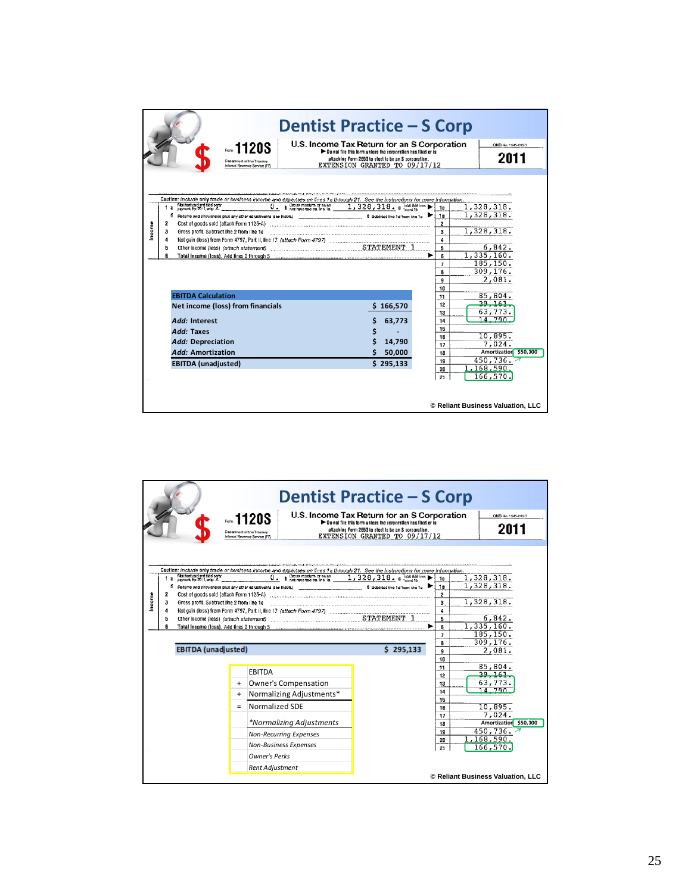|       |                                                                                                                                                                                                                                                                                                                                                                                    | <b>Dentist Practice – S Corp</b><br>U.S. Income Tax Return for an S Corporation       |                                                                     | OMB No. 1545-0120                                                                                   |
|-------|------------------------------------------------------------------------------------------------------------------------------------------------------------------------------------------------------------------------------------------------------------------------------------------------------------------------------------------------------------------------------------|---------------------------------------------------------------------------------------|---------------------------------------------------------------------|-----------------------------------------------------------------------------------------------------|
|       | $=1120S$                                                                                                                                                                                                                                                                                                                                                                           | Do not file this form unless the corporation has flied or is                          |                                                                     |                                                                                                     |
|       | Department of the Trussury<br>Internat Revenue Service (77)                                                                                                                                                                                                                                                                                                                        | attaching Form 2553 to elect to be an S corporation.<br>EXTENSION GRANTED TO 09/17/12 |                                                                     | 2011                                                                                                |
|       |                                                                                                                                                                                                                                                                                                                                                                                    |                                                                                       |                                                                     |                                                                                                     |
| ncome | Caution: include only trade or business income and expenses on lines 1a through 21. See the instructions for more information.<br>b Gross receipts or sales<br>Merchant card and third-party<br>sayment. For 2011, enter -0-<br>0.<br>1a<br>đ<br>Returns and allowances plus any other adjustments (see instra.)<br>2<br>Gross profit. Subtract line 2 from line 1e<br>з<br>4<br>5 | 1,328,318. Clandbines<br>8 Subtract line 1d from line 1c <b>D</b><br>►                | 1c<br>1e<br>2<br>3<br>4<br>5<br>ß<br>$\overline{ }$<br>8<br>g<br>10 | 1,328,318.<br>1,328,318.<br>1,328,318.<br>6,842.<br>1, 335, 160.<br>185, 150.<br>309.176.<br>2,081. |
|       | <b>EBITDA Calculation</b>                                                                                                                                                                                                                                                                                                                                                          |                                                                                       | 11                                                                  | 85,804.                                                                                             |
|       | Net income (loss) from financials                                                                                                                                                                                                                                                                                                                                                  | 166,570                                                                               | 12                                                                  | 29, 161                                                                                             |
|       | Add: Interest                                                                                                                                                                                                                                                                                                                                                                      | 63.773                                                                                | 13<br>14                                                            | 63,773.<br>14,790                                                                                   |
|       | Add: Taxes                                                                                                                                                                                                                                                                                                                                                                         |                                                                                       | 15                                                                  |                                                                                                     |
|       | Add: Depreciation                                                                                                                                                                                                                                                                                                                                                                  | 14,790                                                                                | 16                                                                  | 10,895.                                                                                             |
|       | Add: Amortization                                                                                                                                                                                                                                                                                                                                                                  | Ś<br>50,000                                                                           | 17<br>18                                                            | 7.024.<br>Amortization \$50,000                                                                     |
|       | <b>EBITDA</b> (unadjusted)                                                                                                                                                                                                                                                                                                                                                         | \$295,133                                                                             | 19                                                                  | 450,736.                                                                                            |
|       |                                                                                                                                                                                                                                                                                                                                                                                    |                                                                                       | 20<br>21                                                            | 1,168,590.<br>166,570.<br>© Reliant Business Valuation, LLC                                         |

|       |                             |                                                                                                                                                      |                   | 1120S<br>Department of the Trussury<br>Internal Revenue Sarvice (77)                                                                                                                                                                               | <b>Dentist Practice - S Corp</b><br>U.S. Income Tax Return for an S Corporation<br>Do not file this form unless the corporation has flied or is<br>attaching Form 2553 to elect to be an S corporation.<br>EXTENSION GRANTED TO 09/17/12 |                                                                                      | OMB No. 1545-0120<br>2011                                                                                                                             |
|-------|-----------------------------|------------------------------------------------------------------------------------------------------------------------------------------------------|-------------------|----------------------------------------------------------------------------------------------------------------------------------------------------------------------------------------------------------------------------------------------------|------------------------------------------------------------------------------------------------------------------------------------------------------------------------------------------------------------------------------------------|--------------------------------------------------------------------------------------|-------------------------------------------------------------------------------------------------------------------------------------------------------|
| ncome | 1a<br>đ<br>2<br>з<br>4<br>5 | Merchant card and the d-party<br>Cost of goods sold (attach Form 1125-A)<br>Gross profit. Subtract line 2 from line 1e<br><b>EBITDA</b> (unadjusted) |                   | Caution: include only trade or business income and expenses on lines 1a through 21. See the instructions for more information.<br>b Gross receipts or sales<br>$\overline{0}$ .<br>Returns and allowances plus any other adjustments (see instra.) | $1,328,318.$ C $_{\text{band to}}$<br>8 Subtract line 1d from line 1c<br>\$295,133                                                                                                                                                       | 1c<br>1e<br>$\mathbf{2}$<br>3<br>4<br>5<br>ß<br>$\overline{I}$<br>8<br>g<br>10<br>11 | 1,328,318.<br>1,328,318.<br>1,328,318.<br>6,842.<br>1, 335, 160.<br>185, 150.<br>309, 176.<br>2,081.<br>85,804.                                       |
|       |                             |                                                                                                                                                      | $+$<br>$+$<br>$=$ | <b>EBITDA</b><br>Owner's Compensation<br>Normalizing Adjustments*<br>Normalized SDE<br>*Normalizing Adjustments<br><b>Non-Recurring Expenses</b><br><b>Non-Business Expenses</b><br><b>Owner's Perks</b><br><b>Rent Adjustment</b>                 |                                                                                                                                                                                                                                          | 12<br>13<br>14<br>15<br>16<br>17<br>18<br>19<br>20<br>21                             | 39, 161<br>63,773.<br>14,790<br>10,895.<br>7,024.<br>Amortization \$50,000<br>450,736.<br>1,168,590.<br>166,570.<br>© Reliant Business Valuation, LLC |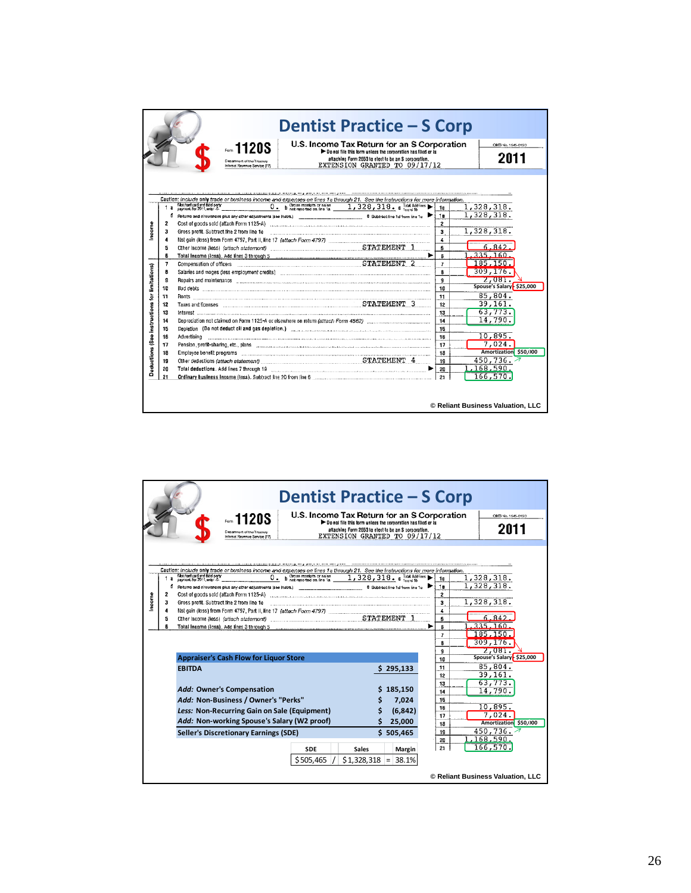|                                                         |                                                                                                                 | <b>Dentist Practice - S Corp</b><br>U.S. Income Tax Return for an S Corporation<br><i>տ</i> 112ՕՏ<br>Do not file this form unless the corporation has flied or is                                                                                                                                                                                                                                                                                                                                                                                                                                                                                                                                                                                                                                                                                                                                                                                                                                                                                                                                |                                                                                                                                  | OMB No. 1545-0120                                                                                                                                                                                                                                          |
|---------------------------------------------------------|-----------------------------------------------------------------------------------------------------------------|--------------------------------------------------------------------------------------------------------------------------------------------------------------------------------------------------------------------------------------------------------------------------------------------------------------------------------------------------------------------------------------------------------------------------------------------------------------------------------------------------------------------------------------------------------------------------------------------------------------------------------------------------------------------------------------------------------------------------------------------------------------------------------------------------------------------------------------------------------------------------------------------------------------------------------------------------------------------------------------------------------------------------------------------------------------------------------------------------|----------------------------------------------------------------------------------------------------------------------------------|------------------------------------------------------------------------------------------------------------------------------------------------------------------------------------------------------------------------------------------------------------|
|                                                         |                                                                                                                 | attaching Form 2553 to elect to be an S corporation.<br>Department of the Traceury<br>EXTENSION GRANTED TO 09/17/12<br>Internat Revenue Sarvice (77)                                                                                                                                                                                                                                                                                                                                                                                                                                                                                                                                                                                                                                                                                                                                                                                                                                                                                                                                             |                                                                                                                                  | 2011                                                                                                                                                                                                                                                       |
|                                                         |                                                                                                                 |                                                                                                                                                                                                                                                                                                                                                                                                                                                                                                                                                                                                                                                                                                                                                                                                                                                                                                                                                                                                                                                                                                  |                                                                                                                                  |                                                                                                                                                                                                                                                            |
| Income<br>Deductions (See instructions for limitations) | 2<br>з<br>4<br>Б<br>$\overline{7}$<br>8<br>10<br>11<br>12<br>13<br>14<br>15<br>16<br>17<br>18<br>19<br>20<br>21 | Caution: include only trade or business income and expenses on lines 1a through 21. See the instructions for more information.<br>Merchant card and that party<br>payment. For 2011, enter-0-<br><b>b</b> Gross receipts or sales $1, 328, 318$ . c Total Additives<br>0.<br>8 Subtract line 1d from line 1c<br>Returns and allowances plus any other adjustments (see instra.) ___________________________________<br>Cost of goods sold (attach Form 1125-A) [11] [2010] [2010] [2010] [2010] [2010] [2010] [2010] [2010] [2010] [2010] [2010] [2010] [2010] [2010] [2010] [2010] [2010] [2010] [2010] [2010] [2010] [2010] [2010] [2010] [2010] [2<br>Compensation of officers (EU) compensation of officers (EU) compensation of officers<br>Repairs and maintenance communications are constructed and an area of the construction of the construction of<br>Pension, profit-sharing, etc., plans (11) processes (2001) and the content of the content of the content of the content of the content of the content of the content of the content of the content of the content of the conte | 1c<br>1e<br>2<br>3<br>4<br>5<br>ß<br>$\overline{I}$<br>8<br>g.<br>10<br>11<br>12<br>13<br>14<br>15<br>16<br>17<br>18<br>19<br>20 | 1,328,318.<br>1,328,318.<br>1,328,318.<br>6.842<br>335.160<br>185.150<br>309, 176.<br>2,081.<br>Spouse's Salary - \$25,000<br>85,804.<br>39,161.<br>63,773.<br>14.790.<br>10,895.<br>7,024.<br>Amortization \$50,000<br>450.736.<br>1,168,590.<br>166,570. |
|                                                         |                                                                                                                 |                                                                                                                                                                                                                                                                                                                                                                                                                                                                                                                                                                                                                                                                                                                                                                                                                                                                                                                                                                                                                                                                                                  |                                                                                                                                  | © Reliant Business Valuation, LLC                                                                                                                                                                                                                          |

| <b>Dentist Practice – S Corp</b>                                                                                                                                                                                                                                        |                                           |
|-------------------------------------------------------------------------------------------------------------------------------------------------------------------------------------------------------------------------------------------------------------------------|-------------------------------------------|
| U.S. Income Tax Return for an S Corporation<br>$-1120S$<br>Do not file this form unless the corporation has flied or is                                                                                                                                                 | OMB No. 1545-0120                         |
| attaching Form 2553 to elect to be an \$ corporation.<br>Department of the Trussury                                                                                                                                                                                     | 2011                                      |
| EXTENSION GRANTED TO 09/17/12<br>Internat Revenue Service (77)                                                                                                                                                                                                          |                                           |
| Caution: include only trade or business income and expenses on lines 1a through 21. See the Instructions for more information.<br>Merchant card and third-party<br>sayment. For 2011, enter-0-<br>b Gross receipts or sales<br>1,328,318. c Total Additions<br>0.<br>1a | 1,328,318.<br>1c<br>1,328,318.            |
| Returns and allowances plus any other adjustments (see instra.)<br>8 Subtract line 1d from line 1c.<br>đ<br>2<br>Cost of goods sold (attach Form 1125-A)                                                                                                                | 1e<br>2                                   |
| ncome<br>Gross profit. Subtract line 2 from line 1e<br>з                                                                                                                                                                                                                | 1,328,318.<br>3                           |
| 4                                                                                                                                                                                                                                                                       | 4<br>6.842.                               |
| 5                                                                                                                                                                                                                                                                       | 5<br>335.160<br>R                         |
|                                                                                                                                                                                                                                                                         | 185, 150<br>$\overline{ }$                |
|                                                                                                                                                                                                                                                                         | 309, 176.<br>8                            |
| <b>Appraiser's Cash Flow for Liquor Store</b>                                                                                                                                                                                                                           | 2,081.<br>ğ<br>Spouse's Salary - \$25,000 |
| <b>EBITDA</b>                                                                                                                                                                                                                                                           | 10<br>85,804.<br>11                       |
| \$295,133                                                                                                                                                                                                                                                               | 39,161.<br>12                             |
|                                                                                                                                                                                                                                                                         | 63,773.<br>13                             |
| Add: Owner's Compensation<br>\$185,150                                                                                                                                                                                                                                  | 14.790.<br>14                             |
| Add: Non-Business / Owner's "Perks"<br>7,024                                                                                                                                                                                                                            | 15<br>10,895.<br>16                       |
| Less: Non-Recurring Gain on Sale (Equipment)<br>(6, 842)                                                                                                                                                                                                                | 7,024.<br>17                              |
| Add: Non-working Spouse's Salary (W2 proof)<br>25,000                                                                                                                                                                                                                   | Amortization \$50,000<br>18               |
| <b>Seller's Discretionary Earnings (SDE)</b><br>\$505.465                                                                                                                                                                                                               | 450.736. $\overline{7}$<br>19             |
|                                                                                                                                                                                                                                                                         | 1,168,590.<br>20<br>166,570.<br>21        |
| <b>SDE</b><br><b>Sales</b><br>Margin                                                                                                                                                                                                                                    |                                           |
| \$505,465<br>38.1%<br>\$1,328,318<br>$=$                                                                                                                                                                                                                                |                                           |
|                                                                                                                                                                                                                                                                         | © Reliant Business Valuation, LLC         |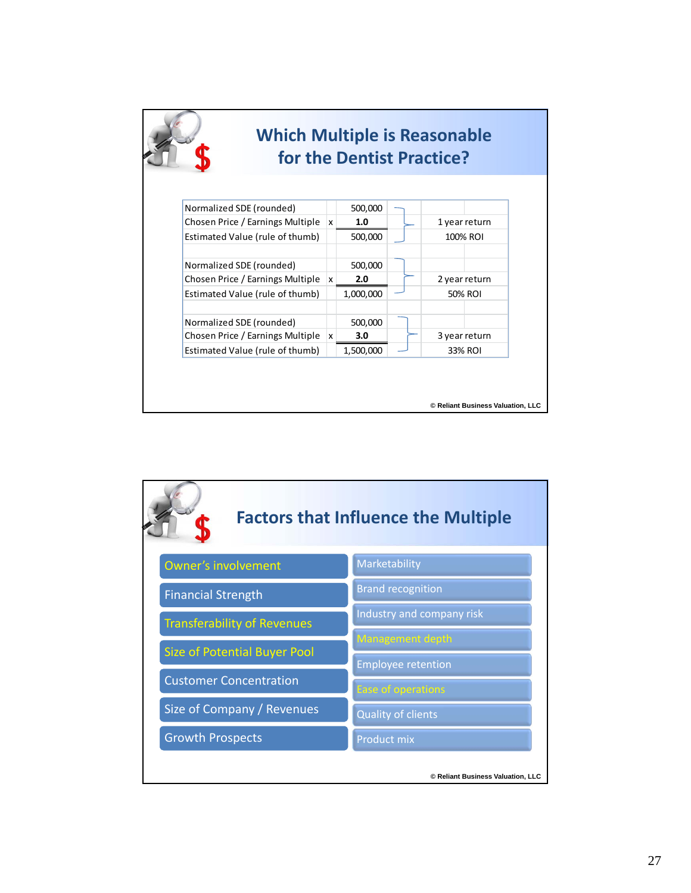|                                  |          |           |  | for the Dentist Practice? |  |
|----------------------------------|----------|-----------|--|---------------------------|--|
| Normalized SDE (rounded)         |          | 500,000   |  |                           |  |
| Chosen Price / Earnings Multiple | <b>x</b> | 1.0       |  | 1 year return             |  |
| Estimated Value (rule of thumb)  |          | 500,000   |  | 100% ROI                  |  |
| Normalized SDE (rounded)         |          | 500,000   |  |                           |  |
| Chosen Price / Earnings Multiple | x        | 2.0       |  | 2 year return             |  |
| Estimated Value (rule of thumb)  |          | 1,000,000 |  | 50% ROI                   |  |
| Normalized SDE (rounded)         |          | 500,000   |  |                           |  |
| Chosen Price / Earnings Multiple | <b>x</b> | 3.0       |  | 3 year return             |  |
| Estimated Value (rule of thumb)  |          | 1,500,000 |  | 33% ROI                   |  |

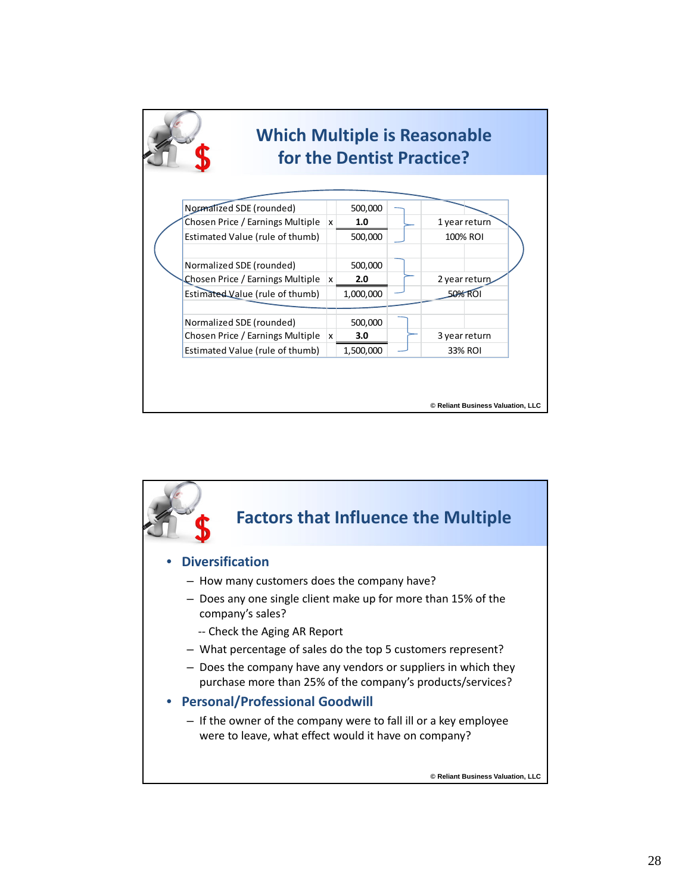|  | <b>Which Multiple is Reasonable</b><br>for the Dentist Practice? |              |           |  |                                   |
|--|------------------------------------------------------------------|--------------|-----------|--|-----------------------------------|
|  | Normalized SDE (rounded)                                         |              | 500,000   |  |                                   |
|  | Chosen Price / Earnings Multiple                                 | Ιx.          | 1.0       |  | 1 year return                     |
|  | Estimated Value (rule of thumb)                                  |              | 500,000   |  | 100% ROI                          |
|  | Normalized SDE (rounded)                                         |              | 500,000   |  |                                   |
|  | Chosen Price / Earnings Multiple                                 | $\mathbf{x}$ | 2.0       |  | 2 year return                     |
|  | Estimated Value (rule of thumb)                                  |              | 1,000,000 |  | 50% ROI                           |
|  | Normalized SDE (rounded)                                         |              | 500,000   |  |                                   |
|  | Chosen Price / Earnings Multiple                                 | x            | 3.0       |  | 3 year return                     |
|  | Estimated Value (rule of thumb)                                  |              | 1,500,000 |  | 33% ROI                           |
|  |                                                                  |              |           |  | © Reliant Business Valuation, LLC |

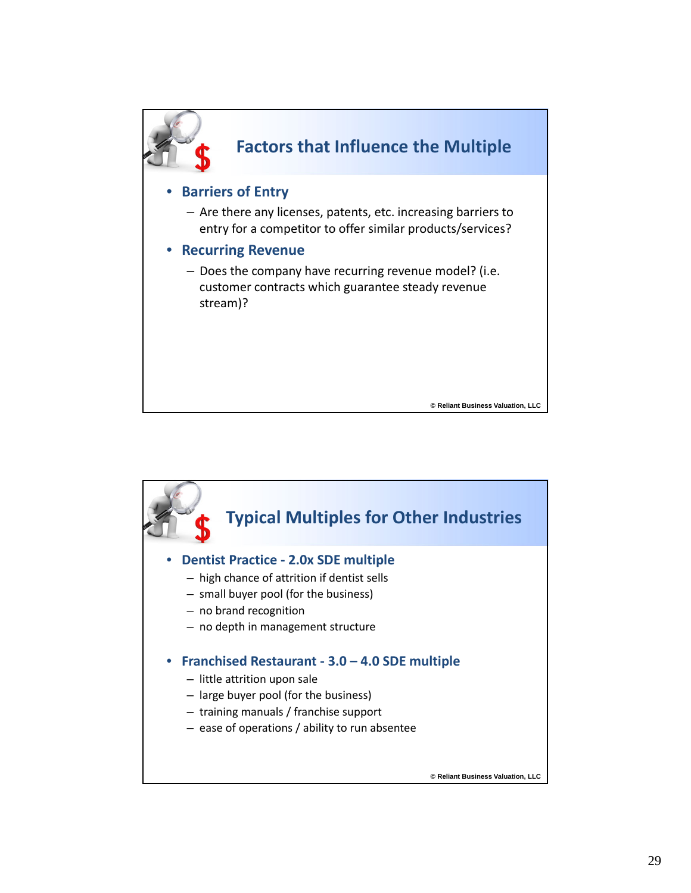

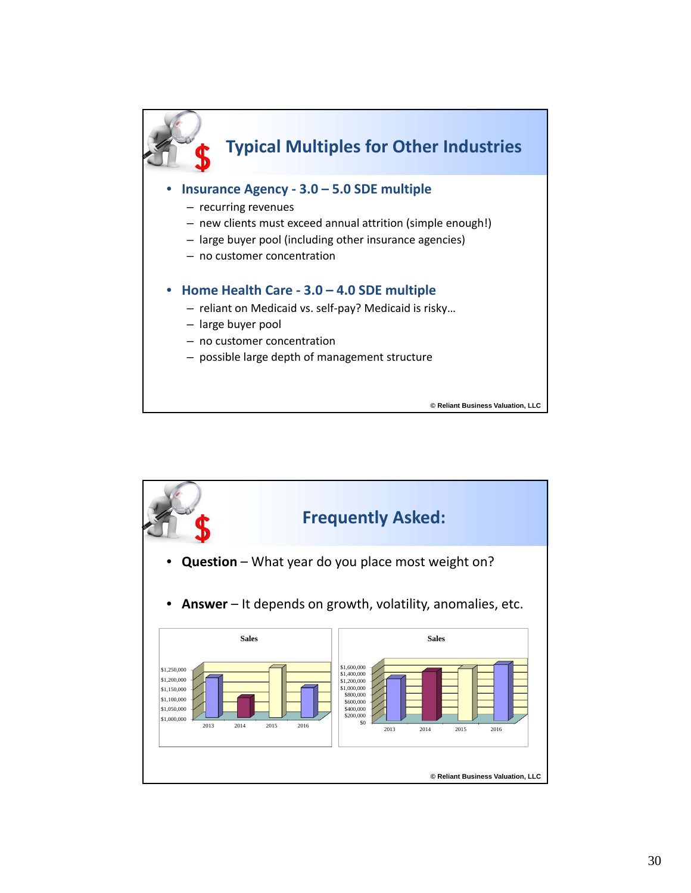

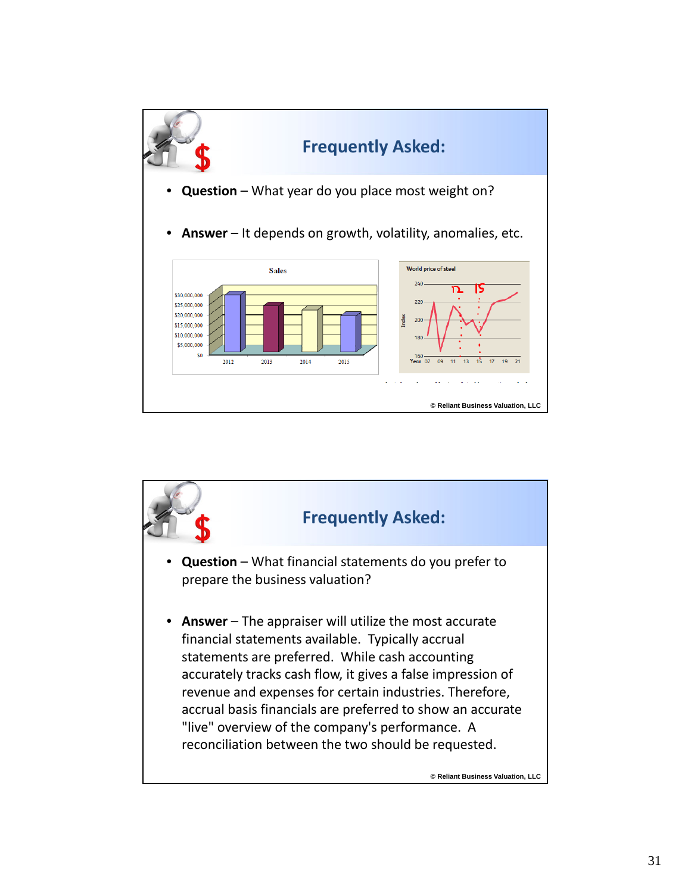